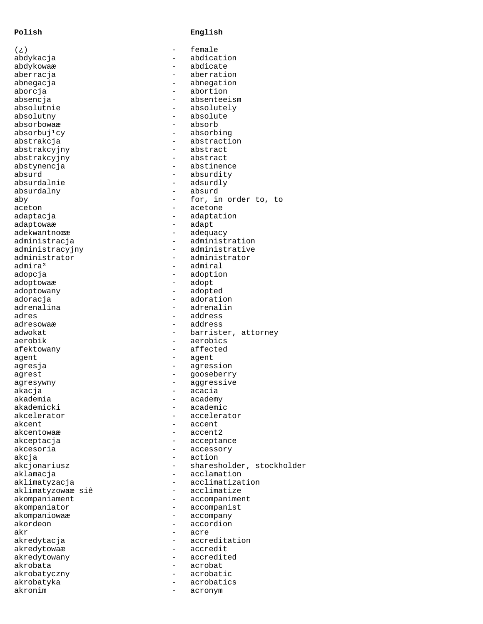## **Polish English**

| ( خ )                    |                          | female                    |
|--------------------------|--------------------------|---------------------------|
| abdykacja                |                          | abdication                |
| abdykowaæ                |                          | abdicate                  |
| aberracja                |                          | aberration                |
| abnegacja                |                          | abnegation                |
| aborcja                  |                          | abortion                  |
| absencja                 |                          | absenteeism               |
| absolutnie               |                          | absolutely                |
| absolutny                |                          | absolute                  |
| absorbowaæ               |                          | absorb                    |
| absorbuj <sup>1</sup> cy |                          | absorbing                 |
| abstrakcja               |                          | abstraction               |
| abstrakcyjny             |                          | abstract                  |
| abstrakcyjny             |                          | abstract                  |
| abstynencja              |                          | abstinence                |
| absurd                   | $\qquad \qquad -$        | absurdity                 |
| absurdalnie              | $\qquad \qquad -$        | adsurdly                  |
| absurdalny               |                          | absurd                    |
|                          |                          | for, in order to, to      |
| aby                      |                          |                           |
| aceton                   |                          | acetone                   |
| adaptacja                |                          | adaptation                |
| adaptowaæ                |                          | adapt                     |
| adekwantnoϾ              |                          | adequacy                  |
| administracja            |                          | administration            |
| administracyjny          |                          | administrative            |
| administrator            |                          | administrator             |
| admira <sup>3</sup>      |                          | admiral                   |
| adopcja                  |                          | adoption                  |
| adoptowaæ                |                          | adopt                     |
| adoptowany               |                          | adopted                   |
| adoracja                 |                          | adoration                 |
| adrenalina               |                          | adrenalin                 |
| adres                    | $\overline{\phantom{0}}$ | address                   |
| adresowaæ                |                          | address                   |
| adwokat                  |                          | barrister, attorney       |
| aerobik                  |                          | aerobics                  |
| afektowany               |                          | affected                  |
|                          |                          |                           |
| agent                    |                          | agent                     |
| agresja                  | -                        | agression                 |
| agrest                   |                          | gooseberry                |
| agresywny                |                          | aggressive                |
| akacja                   | $\qquad \qquad -$        | acacia                    |
| akademia                 |                          | academy                   |
| akademicki               |                          | academic                  |
| akcelerator              |                          | accelerator               |
| akcent                   |                          | accent                    |
| akcentowaæ               |                          | accent2                   |
| akceptacja               |                          | acceptance                |
| akcesoria                |                          | accessory                 |
| akcia                    |                          | action                    |
| akcjonariusz             |                          | sharesholder, stockholder |
| aklamacja                |                          | acclamation               |
| aklimatyzacja            |                          | acclimatization           |
| aklimatyzowaæ siê        | -                        | acclimatize               |
|                          |                          |                           |
| akompaniament            |                          | accompaniment             |
| akompaniator             |                          | accompanist               |
| akompaniowaæ             |                          | accompany                 |
| akordeon                 | -                        | accordion                 |
| akr                      |                          | acre                      |
| akredytacja              |                          | accreditation             |
| akredytowaæ              |                          | accredit                  |
| akredytowany             | -                        | accredited                |
| akrobata                 |                          | acrobat                   |
| akrobatyczny             |                          | acrobatic                 |
| akrobatyka               |                          | acrobatics                |
| akronim                  |                          | acronym                   |
|                          |                          |                           |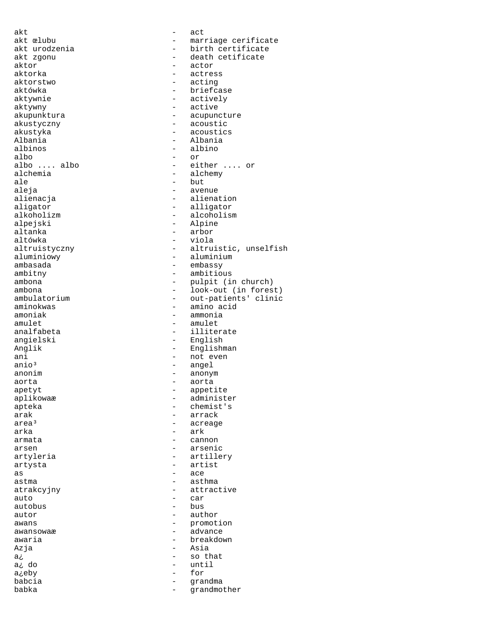akt - act aktor - actor aktorka - actress aktorstwo - actress aktorstwo - acting aktorstwo - acting aktówka - briefcase aktywnie - briefcase - briefcase - briefcase - briefcase - briefcase - briefcase - briefcase - briefcase - briefcase - briefcase - briefcase - briefcase - briefcase - briefcase - briefcase - briefcase aktywny - active akustyczny - acoustic Albania - Albania albinos - albino albo - or alchemia - alchemy - alchemy - but ale - but ale<br>aleja - aver aleja - avenue alienacja - alienation - alienation<br>aligator - alligator aligator - alligator alpejski - Alpine - Alpine - Alpine - Alpine - Alpine - Alpine - Alpine - Alpine - Alpine - Alpine - Alpine altanka - arbor aluminiowy **contains a** aluminium ambasada - embassy ambitny - ambitious<br>ambona - pulpit (i) amoniak - ammonia amulet - amulet - amulet - amulet - amulet - amulet - amulet - amulet - amulet - amulet - amulet - amulet - amulet - amulet - amulet - amulet - amulet - amulet - amulet - amulet - amulet - amulet - amulet - amulet - amulet angielski - English Anglik - Englishman ani - not even anio<sup>3</sup> - not even anio<sup>3</sup> - angel anio<sup>3</sup> - angel<br>anonim - anonym - anonym - anonym aorta - aorta apetyt - appetite apteka - chemist's<br>arak - chemist's<br>- arrack arak - arrack - arrack - arrack - arrack  $arka$  -  $arka$ armata - cannon arsen - arsenic artyleria  $-$  artillery artysta - artist as as - ace - ace - ace - asthal - asthal - asthal - asthal - asthal - asthal - ace - asthal - asthal - asthal astma - asthma atrakcyjny - attractive auto - car  $\begin{tabular}{ccc} \bf{autor} & \tt{-} & \tt{author} \end{tabular}$ awans  $\frac{1}{2}$  awansowaæ  $\frac{1}{2}$  advance awansowaæ awaria - breakdown Azja - Asia a¿ - so that a¿eby - for babcia - grandma

akt œlubu - marriage cerificate<br>akt urodzenia - - - - - - - - - - - - birth certificate akt urodzenia - birth certificate<br>akt zgonu - death cetificate akt zgonu - death cetificate<br>aktor - actor - actor - actively akupunktura - acupuncture - acoustics albo .... albo - either .... or alchemia - alcoholism - viola altruistyczny - altruistic, unselfish ambona - pulpit (in church) ambona - look-out (in forest) ambulatorium - out-patients' clinic<br>aminokwas - amino acid - amino acid - illiterate - anonym - administer - acreage - bus until<br>for grandmother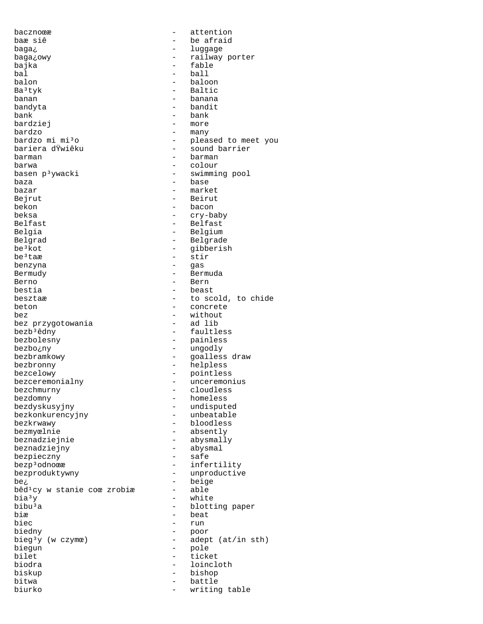bacznoœ - attention baæ siê  $-$  be afraid baga<sub>¿</sub> en luggage - luggage baga¿owy - railway porter bajka - fable - fable - fable - fable - fable - fable - fable - fable - fable - fable - fable - fable - fable - fable - fable - fable - fable - fable - fable - fable - fable - fable - fable - fable - fable - fable - fable bal - ball balon - baloon - baloon - baloon - baloon - baloon - baloon - baloon - baloon - baloon - baloon - baloon - baloon - baloon - baloon - baloon - baloon - baloon - baloon - baloon - baloon - baloon - baloon - baloon - baloon Ba<sup>3</sup>tyk - Baltic<br>banan - banana - banana banan - banana bandyta - bandit bank - bank<br>bardziej - more bardziej<br>bardzo - many bardzo mi mi³o - pleased to meet you bariera dŸwiêku - sound barrier barman - barman barwa - colour - swimming pool baza - base bazar - market Bejrut - Beirut - Beirut - Beirut - Beirut - Beirut - Beirut - Beirut - Beirut - Beirut - Beirut - Beirut - Beirut - Beirut - Beirut - Beirut - Beirut - Beirut - Beirut - Beirut - Beirut - Beirut - Beirut - Beirut - Beirut - bacon beksa - cry-baby Belfast - Belfast Belgia - Belgium - Belgium Belgrad - Belgrade be<sup>3</sup>kot - gibberish<br>be<sup>3</sup>taæ - stir - stir<br>- gas benzyna - gas Bermudy - Bermuda Berno - Bern - beast besztaæ - to scold, to chide<br>beton - concrete - concrete bez - without bez przygotowania<br>bezb<sup>3</sup>êdny bezb³êdny - faultless - painless bezbo¿ny - ungodly bezbramkowy - goalless draw<br>
- goalless draw bezbronny - helpless bezcelowy - pointless bezceremonialny - unceremonius<br>bezchmurny - cloudless bezchmurny - cloudless<br>bezdomny - homeless bezdomny - homeless<br>bezdyskusyjny - homeless - undisputed<br>- unbeatable bezkonkurencyjny bezkrwawy - bloodless bezmyœlnie - absently beznadziejnie - abysmally beznadziejny - abysmal bezpieczny bezp<sup>3</sup>odnoϾ - infertility bezproduktywny - unproductive  $be^2$  - beige<br>bêd<sup>1</sup>cy w stanie coœ zrobiæ - able  $b\hat{e}d^{1}cy$  w stanie coœ zrobiæ -<br>bia<sup>3</sup>y  $bia<sup>3</sup>y$  - white<br>bibu<sup>3</sup>a - blott:  $bibu^3a$  -  $blotting paper$ <br> $bia$  -  $beat$ biæ – beat<br>biec – mun – run biec - run biedny - poor -  $adept (at/in sth)$ biegun - pole<br>bilet - tick bilet - ticket<br>hiodra - loincle biodra - loincloth biskup - bishop - battle<br>- writing biurko - writing table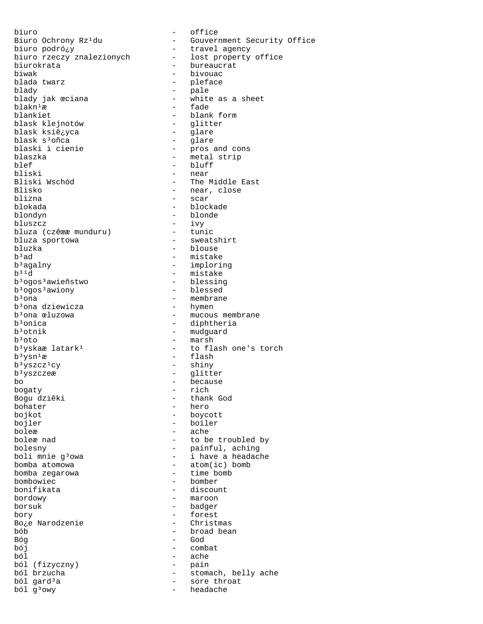biuro - office biuro rzeczy znalezionych<br>biurokrata biurokrata - <sup>-</sup> - - - bureaucrat<br>biwak - - - - - - - - - - - bivouac biwak - bivouac blada twarz - pleface blady - pale blady jak  $\text{eciana}$  - white as a sheet<br>blakn<sup>1</sup>æ - fade blakn<sup>1</sup>æ fade – fade<br>blankiet – blank blask klejnotów - glitter blask ksiê¿yca - glare blask s³oñca - glare blaski i cienie - pros and cons blaszka - metal strip blef - bluff - bluff - bluff - bluff - bluff - bluff - bluff - bluff - bluff - bluff - bluff - bluff - bluff - bluff - bluff - bluff - bluff - bluff - bluff - bluff - bluff - bluff - bluff - bluff - bluff - bluff - bluff bliski - near Bliski Wschód - The Middle East Blisko - near, close<br>blizna - scar blizna - scar blondyn - blonde bluszcz - ivy bluza (czêœæ munduru)<br>bluza sportowa bluzka - blouse - blouse - blouse - blouse - blouse - blouse - blouse - blouse - blouse - blouse - blouse - blouse - blouse - blouse - blouse - blouse - blouse - blouse - blouse - blouse - blouse - blouse - blouse - blouse b<sup>3</sup>ad - mistake<br>b<sup>3</sup>agalny - mistake - implori b<sup>3</sup>agalny - imploring<br>b<sup>31</sup>d - mistake bªogosªawieñstwo - blessing<br>bªogosªawiony - blessed b<sup>3</sup>ogos<sup>3</sup>awiony<br>b<sup>3</sup>ona b<sup>3</sup>ona dziewicza<br>b<sup>3</sup>ona œluzowa b<sup>3</sup>ona œluzowa - mucous membrane<br>b<sup>3</sup>onica - diphtheria  $b^3$ onica  $b^3$ onica - diphtheria  $b^3$ otnik - mudguard  $b^3$ otnik - mudguard<br> $b^3$ oto - marsh - marsh  $b<sup>3</sup>$ yskaæ latark<sup>1</sup> - to flash one's torch  $b<sup>3</sup>ysn<sup>1</sup>æ$  - flash<br>  $b<sup>3</sup>yszcz<sup>1</sup>cy$  - shiny b<sup>3</sup>yszcz<sup>1</sup>cy<br>b<sup>3</sup>yszczeæ b<sup>3</sup>yszczeæ - glitter<br>bo - glitter<br>bo - because bo - because<br>bogaty - because<br>- rich bogaty - rich Bogu dziêki - thank God bohater - hero bojler - boiler<br>bolex - ache boleæ - ache<br>boleæ nad - to be bolesny - painful, aching boli mnie g $3$ owa  $-$  i have a headache bomba atomowa - atom(ic) bomb bomba zegarowa<br>bombowiec bombowiec - bomber bordowy - maroon borsuk - badger bory - forest Bo¿e Narodzenie<br>bób bób - broad bean Bóg - God ból - ache ból (fizyczny)<br>ból brzucha ból brzucha<br>
ból gard<sup>3</sup>a<br>
- sore throat<br>
- sore throat ból gard<sup>3</sup>a - sore throat<br>ból g<sup>3</sup>owy - headache

Biuro Ochrony Rz<sup>1</sup>du - Gouvernment Security Office<br>biuro podró¿y - travel agency - travel agency<br>- lost property office - blank form<br>- glitter blokada - blockade - <sup>- 1</sup><br>- tunic<br>- sweatshirt - mistake<br>- blessing - membrane<br>- hymen - marsh - boycott - to be troubled by - discount - combat - headache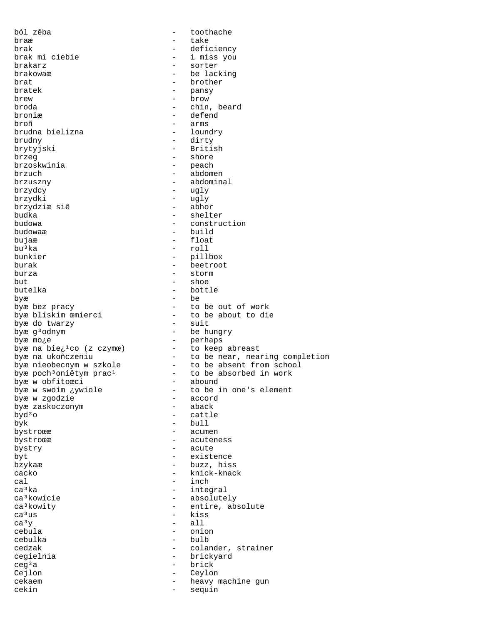ból zêba - toothache braæ - take brak  $-$  deficiency<br>brak mi ciebie  $-$  i miss you brak mi ciebie  $-$  i miss you brakarz  $-$  sorter brakarz - sorter brakowaæ - be lacking<br>brat - brother - brother brat - brother - brother - brother - brother - brother - brother - brother - brother - brother - brother - bro bratek - pansy<br>brew - pansy<br>- brow brew - brow broda - chin, beard broniæ - defend broñ - arms brudna bielizna brudny - dirty brytyjski - British - British - British - British - British - British - Shore - shore<br>- peach brzoskwinia<br>brzuch brzuch - abdomen brzuszny – abdominal<br>brzydcy – ugly – ugly brzydcy - ugly<br>brzydki - ugly - ugly - ugly<br>- abhor brzydziæ siê<br>budka budka - shelter<br>budowa - construction budowa - construction - build bujaæ - float<br>bu<sup>j</sup>ka - float - float - roll bunkier - pillbox burak - beetroot burza - storm but - shoe butelka - bottle byæ - be - to be out of work<br>- to be about to die byæ bliskim œmierci - to be bout to die to die to die to die to die to die to die to die to die to die to die <br>
about to die to die to die to die to die to die to die to die to die to die to die to die to die to die to di byæ do twarzy<br>bowe q<sup>3</sup>odnym entry the suit bown of the hungry byæg<sup>3</sup>odnym - be hungry byæ mo¿e - perhaps byæ na bie¿<sup>1</sup>co (z czymœ) - to keep abreast byæ na ukoñczeniu to be near, nearing completion byæ nieobecnym w szkole - to be absent from school byæ poch<sup>3</sup>oniêtym prac<sup>1</sup> to be absorbed in work byæ w obfitoœci - abound byæ w swoim ¿ywiole - to be in one's element byæ w zgodzie - accord byæ zaskoczonym - aback - cattle byk - bull bystroœ e acumente - acumente - acumente - acumente - acumente - acumente - acumente - acumente - acumente - acumente - acumente - acumente - acumente - acumente - acumente - acumente - acumente - acumente - acumente - acu bystroϾ - acuteness bystry - acute byt - existence bzykaæ - buzz, hiss cacko - knick-knack cal - inch ca<sup>3</sup>ka - integral - integral<br>ca<sup>3</sup>kowicie - integral - absolute ca<sup>3</sup>kowicie - absolutely<br>ca<sup>3</sup>kowity - - entire, absolutely ca<sup>3</sup>kowity - entire, absolute<br>ca<sup>3</sup>us - kiss  $ca<sup>3</sup>us$  - kiss<br> $ca<sup>3</sup>y$  - all  $\begin{array}{ccc} ca^3y & - & a11 \\ cebula & - & \end{array}$ cebula - onion<br>cebulka - onion<br>- bulb cebulka - bulb - colander, strainer cegielnia - brickyard ceg<sup>3</sup>a - brick<br>Cejlon - Ceylor Cejlon - Ceylon cekaem - heavy machine gun<br>
cekin<br>
- sequin - sequin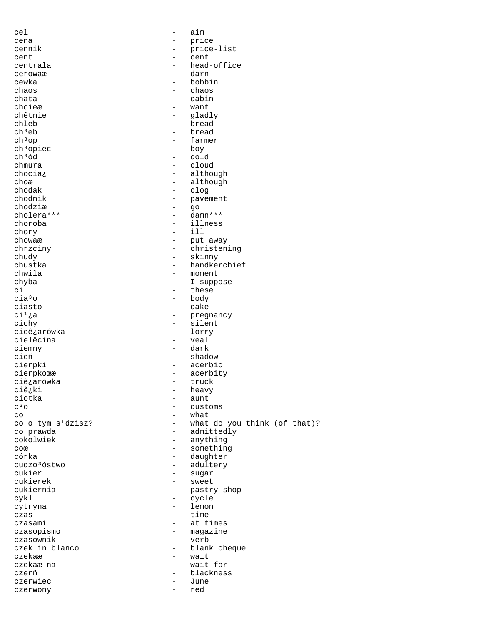cel - aim cena - price<br>cennik - price cennik - price-list cent - cent centrala - head-office<br>cerowaæ - darn - darn cerowaæ - darna - darna - darna - darna - darna - darna - darna - darna - darna - darna - darna - da cewka - bobbin chaos - chaos - cabin chcieæ - want chêtnie - gladly<br>chleb - bread chleb - bread<br>ch<sup>3</sup>eb - bread - bread  $ch<sup>3</sup>op$  - farmer<br>  $ch<sup>3</sup>opice$  - boy ch<sup>3</sup>opiec<br>ch<sup>3</sup>ód - cold<br>- clou chmura - cloud chocia¿ - although<br>chor - although - although choæ - although - although - although - although - although - although - although - although - although - although - although - although - although - although - although - although - although - although - although - althou chodak - clog - pavement<br>- go  $\begin{array}{ccc}\n\text{chodzia} & - & \text{go} \\
\text{cholera***} & - & \text{damn***}\n\end{array}$ cholera\*\*\* choroba - illness chory - ill chowaæ - put away chrzciny - christening chudy - skinny<br>
chustka - handker chustka - handkerchief - handkerchief - handkerchief - handkerchief - handkerchief - handkerchief - handkerchief - handkerchief - handkerchief - handkerchief - handkerchief - handkerchief - handkerchief - handkerchief - ha - moment<br>- I suppo chyba - I suppose ci - these<br>cia<sup>3</sup>o - these - these cia<sup>3</sup>o - body - body<br>ciasto - cake ciasto - cake<br>ci<sup>1</sup>¿a - preg  $\begin{array}{ccc}\n\text{ci}^1 \text{;} a & - & \text{pregnancy} \\
\text{cichy} & - & \text{silent}\n\end{array}$ - silent<br>- lorry cieê¿arówka - lorry cielêcina ciemny - dark cieñ - shadow - shadow cierpki - shadow - shadow - shadow - shadow - shadow - shadow - shadow - shadow - shadow - acerbic cierpkoϾ - acerbity<br>ciê¿arówka - truck - truck ciê¿arówka<br>ciê¿ki ciê<sub>c</sub>ki - heavy<br>ciotka - aunt ciotka - aunt - aunt - cust - customs  $\begin{array}{ccc}\n\text{co} & - & \text{what} \\
\text{co} & \text{tym s}^1 \text{dzisz?} & - & \text{what}\n\end{array}$ co o tym s¹dzisz? - what do you think (of that)? co prawda - admittedly - anything coœ something - something córka - daughter cudzo<sup>3</sup>óstwo - adultery<br>cukier - suqar - suqar - sugar<br>- sweet cukierek – sweet en die sweet van die sweet van die sweet van die sweet van die sweet van die sweet van die sw<br>Die sweet van die sweet van die sweet van die sweet van die sweet van die sweet van die sweet van die sweet va<br> - pastry shop<br>- cycle cykl - cycle cytryna – lemon – lemon – lemon – lemon – lemon – lemon – lemon – lemon – lemon – lemon – lemon – lemon – lemon – l czas - time<br>czasami - at ti - at times czasopismo – magazine<br>czasownik – verb czasownik - verb - blank cheque czekaæ - wait<br>czekaæ na - wait for - wait for czekaæ na czerñ - blackness czerwiec – June<br>czerwony – red czerwony - red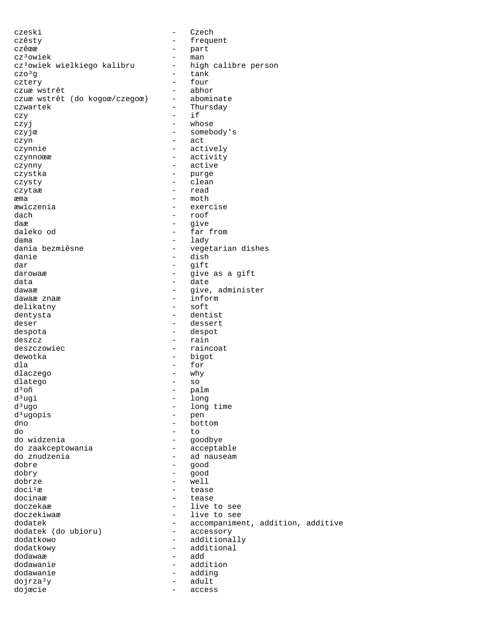czeski - Czech czêsty - frequent czêœæ - part cz<sup>3</sup>owiek<br>cz<sup>3</sup>owiek wielkiego kalibru high calibre person cz<sup>3</sup>owiek wielkiego kalibru - high czo<sup>3</sup>g - tank  $czo<sup>3</sup>g$  - tank<br>cztery - four cztery - four czuæ wstrêt<br>czuæ wstrêt (do kogoœ/czegoœ) - abominate czuæ wstrêt (do kogoœ/czegoœ) czwartek - Thursday czy - if czyj – whose czyjœ - somebody's czyn - act czynnie - actively czynnoϾ – activity<br>czynny – active – active czynny - active czystka – purge – purge – purge – purge – purge – purge – purge – purge – purge – purge – purge – purge – purge – purge – purge – purge – purge – purge – purge – purge – purge – purge – purge – purge – purge – purge – purg czysty - clean czytaæ æma - moth - exercise  $dach$  - roof<br> $dae$  - roof daæ - give - far from dama - lady dania bezmiêsne  $-$  vegetarian dishes danie - dish<br>dar - qift dar - gift darowaæ - give as a gift<br>data - give as a gift data - date - give, administer<br>- inform dawaæ znaæ - inform delikatny dentysta - dentist deser - dessert despota - despot  $deszcz$  - rain deszczowiec extensive the contract of the raincoat dewotka - bigot dla - for dlaczego – why<br>dlatego – why – why dlatego - so d<sup>3</sup>oñ - palm  $\begin{array}{ccc} d^3ugi & - & long \\ d^3ugo & & - & long \end{array}$ - long time<br>- pen  $d^3$ ugopis dno - bottom do - to - goodbye<br>- acceptable do zaakceptowania do znudzenia  $\overline{a}$  - ad nauseam dobre dobre - good dobry - good  $\text{dobrze}$  - well<br> $\text{doci-1}$  - teas  $d$ oci<sup>1</sup>æ - tease - tease - tease - tease - tease - tease - tease - tease - tease - tease - tease - tease - tease - tease - tease - tease - tease - tease - tease - tease - tease - tease - tease - tease - tease - tease docinaæ - tease doczekaæ - live to see - live to see dodatek - accompaniment, addition, additive dodatek (do ubioru) - accessory dodatek (do ubioru)<br>dodatkowo - additionally dodatkowy - additional dodawaæ - add dodawanie - addition dodawanie - adding dojrza³y - adult dojœcie - access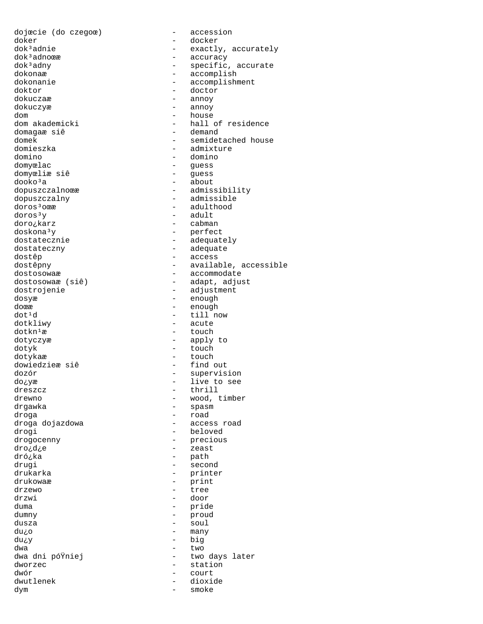dojœcie (do czegoœ) - accession doker - docker dok<sup>3</sup>adnoϾ - accuracy<br>dok<sup>3</sup>adny - specific dokonaæ<br>dokonamie - accomplish<br>dokonamie - accomplishm doktor - doctor dokuczyæ - annoy dom - house domagaæ siê domieszka - admixture domino - domino - domino - domino - quess domyœliæ siê<br>dooko<sup>3</sup>a dooko<sup>3</sup>a - about<br>dooko<sup>3</sup>a - about - admis dopuszczalny - admissible  $\frac{d\sigma\sigma\sigma^3 y}{d\sigma\sigma}$  - adult  $\frac{d\sigma\sigma\sigma^3 y}{d\sigma\sigma}$  - cabman doro¿karz doskona³y - perfect dostatecznie  $\overline{\phantom{a}}$  - adequately dostateczny - adequate dostêp dostêp dostêp dostêpny dostêpny dostêpny dostêpny dostêpny dostêpny dostêpny dostêpny dostêpny dostêpny<br>dostêpny dostêpny dostêpny dostêpny dostêpny dostêpny dostêpny dostêpny dostêpny dostêpny dostêpny dostêpny do dostosowaæ - accommodate dostrojenie - adjustment<br>dosyæ - enough dosyæ - enough  $d$ o $c$  $\overline{c}$   $d$   $\overline{c}$   $d$   $\overline{c}$   $d$   $\overline{c}$   $\overline{c}$   $\overline{c}$   $\overline{c}$   $\overline{c}$   $\overline{c}$   $\overline{c}$   $\overline{c}$   $\overline{c}$   $\overline{c}$   $\overline{c}$   $\overline{c}$   $\overline{c}$   $\overline{c}$   $\overline{c}$   $\overline{c}$   $\overline{c}$   $\overline{c}$   $\overline{c}$   $\overline$ dot<sup>1</sup>d - till now<br>dotkliwy - acute  $dotkn^1x$  - touch dotyczyæ - apply to dotyk - touch dotykaæ - touch dowiedzieæ siê - find out dozór - supervision do¿yæ - live to see dreszcz – thrill – thrill – thrill – thrill – thrill – thrill – wood, t drgawka - spasm droga - road droga dojazdowa drogi - beloved drogocenny - precious dro¿d¿e - zeast dró¿ka - path drugi - second<br>drukarka - - - - - - - - - - - - - printe: drukowaæ - print drzewo<br>drzwi drzwi - door duma - pride<br>dumny - proud dusza - soul  $du$ ¿o - many du¿y - big  $dwa$   $two$ dworzec - station - station - station - station - station - station - station - station - station - station - station - station - station - station - station - station - station - station - station - station - station - st dwór - court dwutlenek - dioxide<br>dvm - dioxide dym - smoke

dok<sup>3</sup>adnie - exactly, accurately<br>dok<sup>3</sup>adnoϾ - - - - accuracy dok<sup>3</sup>adny - specific, accurate<br>dokonaæ - accomplish dokonanie - accomplishment<br>doktor - doctor - doctor - annoy - hall of residence<br>- demand domek - semidetached house - guess<br>- guess dopuszczalnoϾ – admissibility<br>dopuszczalny – admissible - adulthood dostêpny - available, accessible<br>dostosowaæ - - accommodate - adapt, adjust - acute - wood, timber - printer<br>- print - proud dwa dni póŸniej  $-$  two days later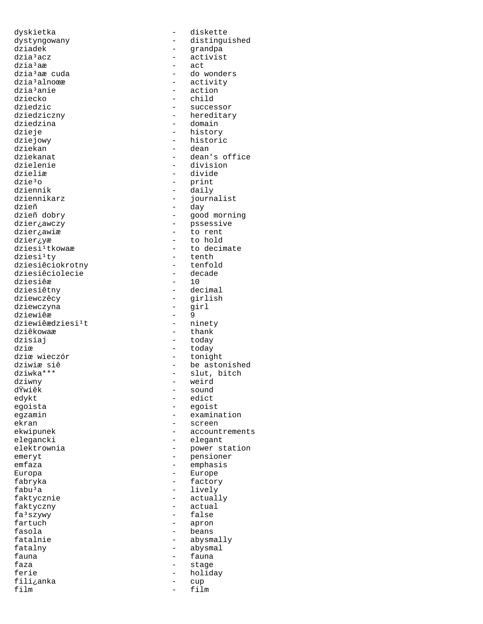dyskietka - diskette dziadek - grandpa dzia³acz - activist dziaªaæ - act - act - act - act - act - act - act - act - act - act - act - act - act - act - act - act - act dzia<sup>3</sup>alnoϾ - activity<br>dzia<sup>3</sup>anie - action - action dzia<sup>3</sup>anie - action - action<br>dziecko - - - - - - - - - - - - child dziecko – child<br>dziedzic – child dziedzic - successor dziedzina dzieje - history dziejowy - historic dziekan - dean dzielenie - division dzieliæ - divide dzie<sup>3</sup>o - print - print - print - print - print - print - print - print - print - print - print - print - print - print - print - print - print - print - print - print - print - print - print - print - print - print - pri dziennik - daily dzieñ - day dzier;awiæ dzier¿yæ - to hold<br>dziesi<sup>1</sup>tkowaæ - to decim dziesi<sup>1</sup>ty - tenth<br>dziesiêciokrotny - tenfold dziesiêciokrotny - tenfold dziesiêciolecie - decade dziesiêæ<br>dziesiêtny dziesiêtny - decimal dziewczyna - girl dziewiêæ - 9 dziewiêædziesi<sup>1</sup>t<br>dziêkowaæ dziêkowaæ - thank - thank<br>dzisiai - todav dzie  $\qquad \qquad -$  today dziœ wieczór - tonight dziwny - weird<br>d<sup>y</sup>wiêk - sound - sound dŸwiêk - sound<br>edykt - edict edykt - edict egoista - egoist ekran - screen emeryt - pensioner emfaza - emphasis Europa - Europe fabryka - factory fabu<sup>3</sup>a - lively<br>faktycznie - actual faktycznie - actually faktyczny - actual<br>fa<sup>3</sup>szywy - false fa<sup>3</sup>szywy - false<br>fartuch - apron fartuch - apron<br>fasola - beans fasola - beans fatalny - abysmal fauna - fauna - fauna - fauna - fauna - fauna - fauna - fauna - fauna - fauna - fauna - fauna - fauna - fauna - fauna - fauna - fauna - fauna - fauna - fauna - fauna - fauna - fauna - fauna - fauna - fauna - fauna - fauna faza - stage fili¿anka - cup

dystyngowany - distinguished dzia³aæ cuda - do wonders - hereditary<br>- domain dziekanat - dean's office dziennikarz - journalist dzieñ dobry - good morning - pssessive<br>- to rent - to decimate<br>- tenth - girlish<br>- girl - today dziwiæ siê  $\frac{1}{2}$  - be astonished dziwka\*\*\* dziwka\*\*\* - slut, bitch egzamin - examination<br>ekran - examination<br>- screen ekwipunek - accountrements<br>elegancki - elegant - elegant elektrownia elektrownia elektrownia elektrownia elektrownia elektrownia elektrownia elektrownia elektrownia ele - abysmally holiday film - film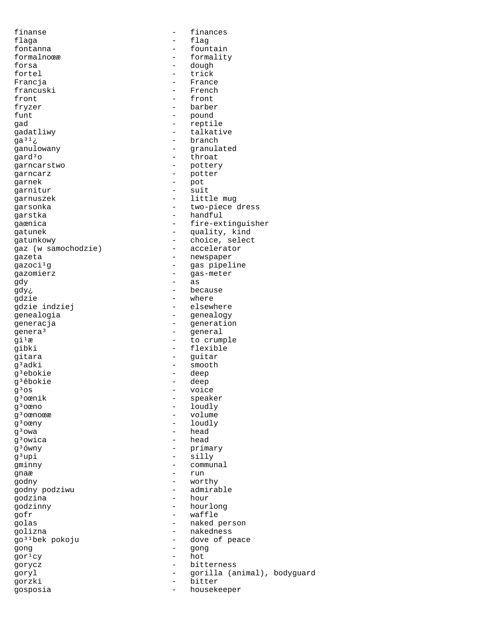finanse - finances flaga - flag fontanna - fountain formalnoϾ - formality forsa - dough fortel - trick - trick<br>Francja - trick - Franc francuski<br>front fryzer - barber funt  $-$  pound qad - reptile gadatliwy - talkative  $ga^{31}$ ¿ - branch ganulowany - granulated gard<sup>3</sup>o - throat garncarstwo - pottery<br>qarncarz - potter - potter garncarz - potter garnek - pot garnitur garnuszek - little mug garstka - handful gaz (w samochodzie) gazeta - newspaper gazoci<sup>1</sup>g - gas pipeline gazomierz - gas-meter  $gdy$  - as gdy¿ - because<br>qdzie - because - because gdzie indziej - genealogia - genealogy<br>generacja - Generatio genera<sup>3</sup> - general<br> $\alpha i^1 x$  - to crum gibki - flexible gitara - guitar <sup>9</sup>adki - smooth<br>g<sup>3</sup>ebokie - deep g<sup>3</sup>êbokie<br>g<sup>3</sup>os g<sup>3</sup>os - voice<br>g<sup>3</sup>oænik - speak g³oœnik - speaker g<sup>3</sup>oœno - loudly<br>q<sup>3</sup>oœnoœæ - loudly - volume g<sup>3</sup>oœnoœæ - volume<br>q<sup>3</sup>oœny - loudly  $g^3$ oœny - loudly<br> $g^3$ owa - head  $q<sup>3</sup>$ owica g<sup>3</sup>ówny - primary g<sup>3</sup>upi - silly gminny - communal gnaæ - run godny - worthy godny podziwu godzina - hour godzinny - hourlong golas - naked person golizna - nakedness gong - gong  $\frac{1}{\sqrt{2}}$  - hot gorycz - bitterness gosposia - housekeeper

- France<br>- French front - front -<br>garsonka - two-piece dress gaœnica - fire-extinguisher gatunek - quality, kind y atunkowy<br>gaz (w samochodzie) - choice, select<br>- accelerator - where<br>- elsewhere - generation - to crumple - deep<br>- deep - head<br>- head - waffle go<sup>31</sup>bek pokoju - dove of peace goryl - gorilla (animal), bodyguard - bitter<br>- houseke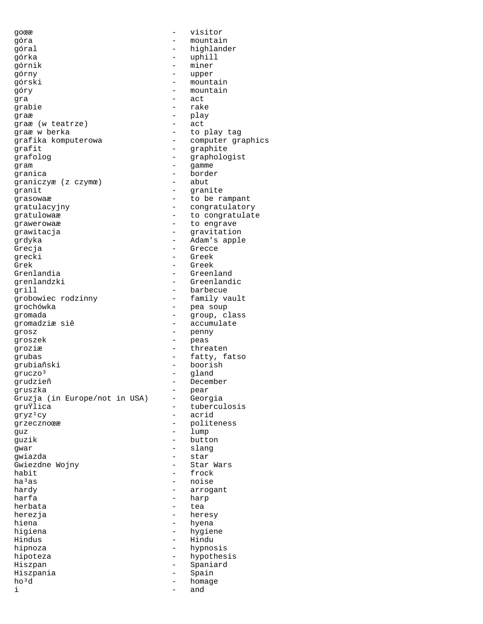goϾ - visitor góra - mountain góral  $-$  highlander górka - uphill  $\frac{1}{2}$ górnik - miner górny - upper górski - mountain gra - act graæ - play graæ (w teatrze) graæ w berka - to play tag grafika komputerowa - computer graphics grafit - graphite grafolog - graphologist gram - gamme -<br>granica - border<br>qraniczyæ (z czymœ) - abut graniczyæ (z czymœ) - abut granit - granite grasowaæ - to be rampant gratulacyjny - congratulatory gratulowaæ - to congratulate - The engrave arawitacja<br>
The engravitacja<br>
The engravitacja<br>
The engravitation of the engravitation of the engravitation of the engravitation of the engrave of the engrave grdyka - Adam's apple Grecja - Grecce - Grecce - Greek - Greek - Greek - Greek - Greek - Greek - Greek - Greek - Greek - Greek - Greek - Greek - Greek - Greek - Greek - Greek - Greek - Greek - Greek - Greek - Greek - Greek - Greek - Greek - Gre grecki - Greek Grek - Greek - Greek - Greek - Greek - Green - Green - Green - Green - Green - Green - Green - Green - Green - Green - Green - Green - Green - Green - Green - Green - Green - Green - Green - Green - Green - Green - Green grenlandzki - Greenlandic grill <br>grobowiec rodzinny - barbecue<br>- family vault grobowiec rodzinny<br>qrochówka gromada - group, class<br>gromadziæsiê - - accumulate grosz - penny groszek - peas groziæ - threaten grubas - fatty, fatso grubiañski - boorish gruczo<sup>3</sup> - gland<br>grudzieñ - becem grudzieñ e en an al becember<br>gruszka e en an al bear gruszka - pear Gruzja (in Europe/not in USA)<br>gruŸlica gruŸlica - tuberculosis<br>gryz<sup>1</sup>cy - acrid grzecznoϾ - politeness<br>
quz<br>
- lump guz - lump guzik - button gwar - slang gwiazda - star Gwiezdne Wojny - Star Warst Warst Warst Warst January - Star Warsdale - Star Warsdale - Star Warsdale - Star W<br>Analysis - Star Warsdale - Star Warsdale - Star Warsdale - Star Warsdale - Star Warsdale - Star Warsdale - Sta habit - frock<br>ha<sup>3</sup>as - hoise - noise ha<sup>3</sup>as - noise - noise - noise - noise - noise - noise - noise - noise - noise - noise - noise - noise - noise - noise - noise - noise - noise - noise - noise - noise - noise - noise - noise - noise - noise - noise - nois hardy - arrogant herbata - tea herezja - heresy higiena - hygiene Hindus - Hindu hipnoza - hypnosis hipoteza - hypothesis Hiszpan - Spaniard Hiszpania - Spain i - and

mountain grabie - rake - gravitation - Greenland - pea soup - accumulate - acrid<br>- polite - harp<br>- tea - hyena - homage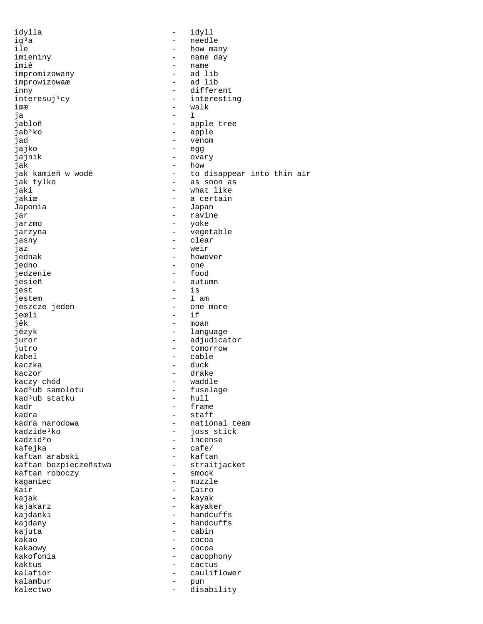idylla - idyll ig<sup>3</sup>a - needle - needle - needle - needle - needle - needle - needle - needle - needle - needle - needle - needle ile - how many imieniny - name day - name<br>- ad lib impromizowany - ad lib improwizowaæ<br>inny inny - different - interesting iϾ - walk ja - I - apple tree jab<sup>3</sup>ko - apple jad - venom jajko - egg jajnik - ovary jak - how jak kamieñ w wodê  $\begin{array}{ccc} - & + & + \ 1 & - & - \ 1 & - & - \ 1 & - & - \ 1 & - & - \end{array}$  into thin air jak tylko - as soon as jaki - what like<br>jakiœ - mat like<br>- a certain - a certain Japonia - Japan jar - ravine - yoke jarzyna - vegetable jasny - clear jaz - weir - however jedno - one jedzenie - food - food - food - food - food - food - food - food - food - food - food - food - food - food - food - food - food - food - food - food - food - food - food - food - food - food - food - food - food - food - f jesieñ en autumn - autumn iest e autumn - is jest - is jestem - I am jeszcze jeden - one more jeœli<br>jêk jêk - moan - language juror  $-$  adjudicator jutro  $-$  tomorrow kabel - cable kaczka - duck kaczor - drake kaczy chód - waddle kad³ub samolotu - fuselage kad<sup>3</sup>ub statku<br>kadr kadr - frame kadra - staff - staff - staff - staff - staff - staff - staff - staff - staff - staff - staff - staff - staff kadra narodowa  $\begin{array}{ccc} - & - \\ - & - \end{array}$  national team kadzide<sup>3</sup>ko kadzide<sup>3</sup>ko - joss stick<br>kadzid<sup>3</sup>o - incense - incense kafejka - cafe/<br>kaftan arabski - kaftan kaftan arabski - kaftan kaftan bezpieczeñstwa - strait<br>kaftan roboczy - smock kaftan roboczy kaganiec - muzzle - muzzle<br>Kair - Cairo Kair - Cairo kajak - kayak - kayak - kayak - kayak - kayak - kayak - kayak - kayak - kayak - kayak - kayak - kayak - kayak <br>Kayak - kayak - kayak - kayak - kayak - kayak - kayak - kayak - kayak - kayak - kayak - kayak - kayak - kayak kajakarz - kayaker - handcuffs kajdany - handcuffs kajuta - cabin kakao - cocoa kakaowy - cocoa kakofonia - cacophony kaktus - cactus kalafior - cauliflower kalambur - pun kalectwo - disability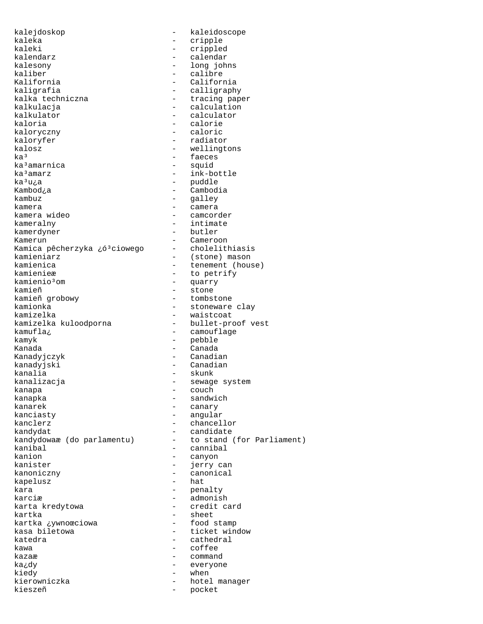kalejdoskop - kaleidoscope kaleka - cripple - cripple<br>kaleki - cripple kaleki - crippled<br>kalendarz - calendar - calendar kalesony - long johns kaliber - calibre - calibre<br>Kalifornia - califori Kalifornia - California kaligrafia - calligraphy kalkulacja - calculation kalkulator - calculator - calculator<br>kaloria - calorie - calorie kaloryczny kaloryfer - radiator<br>kalosz - rediator - radiator kalosz - wellingtons ka<sup>3</sup>amarnica<br>ka<sup>3</sup>amarz  $ka^3$ amarz  $-$  ink-bottle  $ka^3u_ia$ Kambod¿a - Cambodia kambuz - galley kamera - camera kameralny - intimate kamerdyner Kamerun - Cameroon Kamica pêcherzyka ¿óªciowego - cholelithiasis<br>kamieniarz - (stone) mason kamieniarz - (stone) mason kamienica - tenement (house)<br>kamienieæ - to petrify kamienieæ - to petrify<br>kamienio<sup>3</sup>om - - quarry kamienio³om - quarry kamieñ = stone = stone = stone = stone = stone = stone = stone = stone = stone = stone = stone = stone = stone kamieñ grobowy  $\begin{array}{ccc} - & t$ ombstone kamionka kamionka<br>
kamizelka - stoneware clay<br>
- waistcoat kamizelka kuloodporna<br>kamufla*i* kamyk en aan de bedyk is de bedyk is de bedyk is de bedyk is de bedyk is de bedyk is de bedyk is de bedyk is d Kanada - Canada Kanadyjczyk - Canadian kanalia - skunk kanalizacja - sewage system kanapa - couch - couch kanapka - sandwich kanarek - canary<br>kanciasty - angula: kanclerz  $\qquad \qquad -$  chancellor kandydat - candidate<br>kandydowaæ (do parlamentu) - to stand kanibal - cannibal kanion - canyon kanister - jerry can<br>kanoniczny - canonical kanoniczny - canonical kapelusz kara - penalty karciæ - admonish kartka - sheet<br>kartka xywnoœciowa - sheet - food stamp kartka ¿ywnoœciowa<br>kasa biletowa kasa biletowa  $\begin{array}{ccc} - & ticket \text{ window} \\ katedra & - & cathedral \end{array}$ kawa - coffee kazaæ - command ka¿dy - everyone kiedy - when kieszeñ - pocket

- calendar - tracing paper - calorie<br>- caloric - faeces<br>- squid - puddle - camcorder - waistcoat<br>- bullet-proof vest - camouflage - Canadian - angular - to stand (for Parliament) - credit card - cathedral - hotel manager<br>- pocket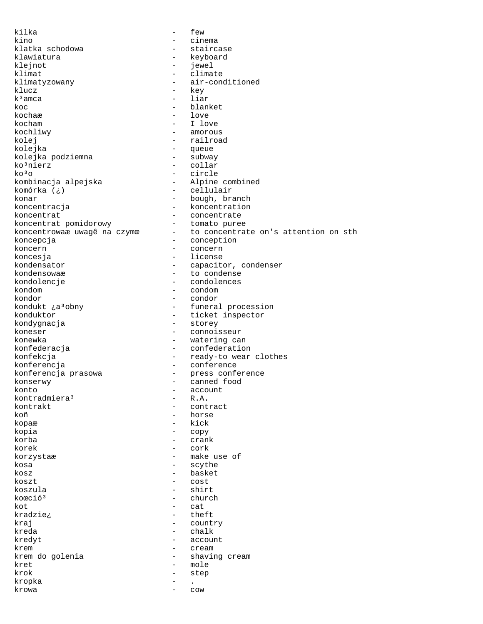kilka - few kino - cinema - cinema<br>klatka schodowa - - staircase klatka schodowa<br>klawiatura - keyboard<br>- iewel klejnot - jewel klimat - climate klimatyzowany - air-conditioned klucz  $\begin{array}{ccc} - & \text{key} \\ k^3 \text{amca} & - & \text{law} \end{array}$ - liar koc - blanket<br>kocha<del>r</del> - blanket kochaæ - love<br>kocham - I love kocham - I love - amorous kolej  $-$  railroad kolejka - queue kolejka podziemna ko<sup>3</sup>nierz - collar<br>ko<sup>3</sup>o - circle ko<sup>3</sup>o - circle<br>kombinacja alpejska - Alpine - Alpine combined komórka (¿) - cellulair - cellulair<br>konar - bough, bra konar - bough, branch - bough, branch - bough, branch - koncentration - koncentration<br>- concentrate koncentrat extensive the concentrate koncentrat pomidorowy - tomato puree - to concentrate on's attention on sth koncepcja **-** conception koncern - concern - concern koncesja - license kondensator - capacitor, condenser kondensowaæ - to condense<br>kondolencje - condolences kondolencje - condolences<br>kondom - condom - condom kondom - condom kondor - condor - funeral procession konduktor<br>
kondyqnacja<br>
+ ticket inspector<br>
- storey<br>
+ storey - storey koneser - connoisseur konewka - watering can konfederacja - confederation konfekcja - ready-to wear clothes konferencja - conference konferencja prasowa press conference konserwy - canned food konto - account kontradmiera<sup>3</sup><br>kontrakt kontrakt - contract<br>koñ - horse - horse kopaæ - kick kopia - copy korba - crank korek  $-$  cork  $$ korzystaæ - make use of kosa - scythe kosz - basket koszt – cost<br>koszula – koszula – shir koszula - shirt - shirt - shirt - shirt - shirt - shirt - shirt - shirt - shirt - shirt - shirt - shirt - shirt - shirt - shirt - shirt - shirt - shirt - shirt - shirt - shirt - shirt - shirt - shirt - shirt - shirt - shir koœció<sup>3</sup> - church<br>kot - cat kot - cat kradzie¿ - theft  $kraj$  - country<br> $kreda$  - chalk - chalk kredyt - account krem - cream krem do golenia  $-$  shaving cream kret – mole krok - step kropka - . krowa - cow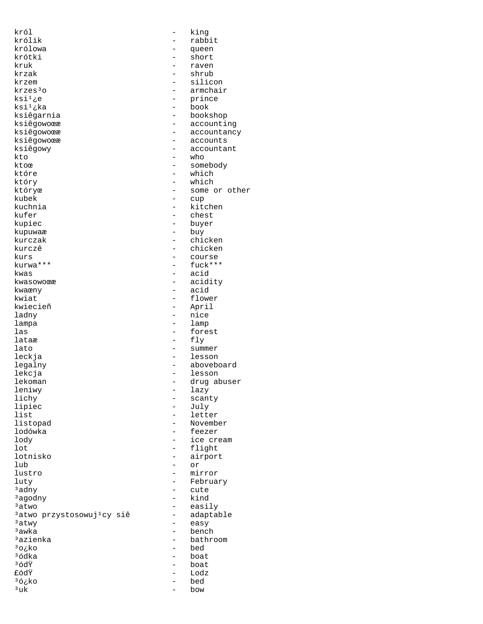król - king królowa - queen krótki - short kruk - raven - raven - raven - raven - raven - raven - raven - raven - raven - raven - raven - raven - raven krzak - shrub - shrub - shrub - shrub - silic krzem – silicon – silicon – silicon – silicon – silicon – silicon – silicon – silicon – silicon – silicon – silicon – silicon – silicon – silicon – silicon – silicon – silicon – silicon – silicon – silicon – silicon – sili  $krzes<sup>3</sup>o$  - armchair<br> $ksi<sup>1</sup>ze$  - prince ksi $^1$ ¿e - prince ksi $^1$ ¿ka - book - book ksi<sup>1</sup>¿ka - book<br>ksiêgarnia - books ksiêgarnia - bookshop ksiêgowoœæ - accountancy ksiêgowoœæ en accounts ksiêgowy - accountant<br>kto - who kto - who ktoœ - somebody które – which – which który – which – which – which – which – which – which – which – which – which – which –  $\frac{1}{2}$ który - which któryœ - some or other kubek - cup<br>kuchnia - kito kuchnia - kitchen<br>kufer - chest kufer - chest<br>kupiec - chest<br>- buyer - buyer kupuwaæ - buy kurczak - chicken kurczê - chicken<br>kurs - course kurs - course kwas - acid kwasowoϾ - acidity kwaœny - acid kwiat - flower ladny - nice lampa - lamp<br>las - fore las - forest lataæ - fly<br>lato - summ leckja - lesson - lesson legalny - aboveboard lekcja - lesson lekoman - drug abuser leniwy - lazy<br>lichy - scant lipiec<br>list list - letter<br>listopad - Movemb listopad - November lodówka - feezer lot - flight lotnisko - airport lub - or<br>lustro - mii luty - February  $\frac{3}{3}$ adny  $\frac{3}{4}$ aqodny  $\frac{1}{3}$ <sup>3</sup>agodny<br><sup>3</sup>atwo  $3$ atwo przystosowuj<sup>1</sup>cy siê -<br> $3$ atwy  $3a$ twy  $a$  easy  $a$  easy  $a$  easy  $3$ awka - bench - bench - bench - bench - bench - bench - bench - bench - bench - bench - bench - bench - bench - bench - bench - bench - bench - bench - bench - bench - bench - bench - bench - bench - bench - bench - ben  $3a$ zienka - bathroom<br> $3o$ <sub>k</sub>ko - bed - bed <sup>3</sup>o¿ko - bed<br><sup>3</sup>ódka - boat - boat ³ódka - boat <sup>3</sup>ódŸ - boat<br>£ódŸ - Lodz £ódŸ - Lodz  $36\pm 6\,$  bed  $-$  bed  $-$  bow  $-$  bow  $3uk$  - bow

- rabbit<br>- gueen - accounting - buyer - fuck\*\*\* kwiecieñ - April - summer - scanty<br>- July - ice cream - mirror<br>- Februa: - easily<br>- adaptable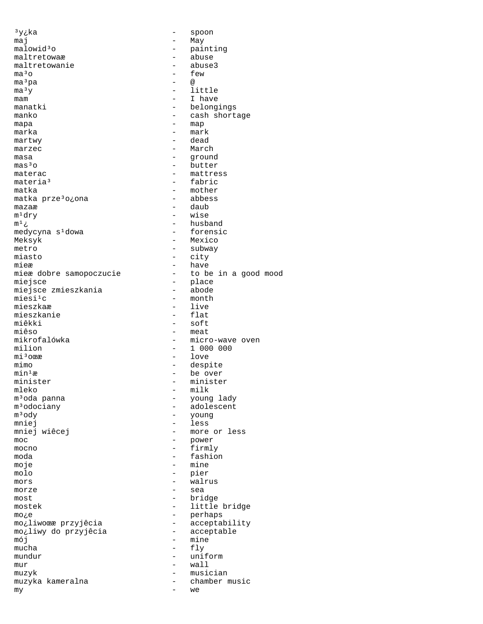$3y$ <sub>i</sub>ka - spoon  $\mathsf{maj}$  - May malowid $3$ o - painting maltretowaæ maltretowaæ - abuse<br>maltretowanie - abuse3 maltretowanie  $\frac{1}{2}$ - few<br>-  $\overset{\circ}{\omega}$ ma<sup>3</sup>pa - @  $-$  @  $-$  1  $\begin{array}{ccc}\n\text{ma}^3y & - & \text{little} \\
\text{mam} & - & \text{I}\n\end{array}$ - I have manatki - belongings manko  $-$  cash shortage mapa  $-$  map marka - mark martwy - dead marzec - March - March - March - March - March - March - March - March - March - March - March - March - March - March - March - March - March - March - March - March - March - March - March - March - March - March - March masa - ground  $\begin{array}{cccc}\n\text{mas}^3\text{O} & \text{mats}^3\text{O} & \text{mats}^3\text{O} & \text{mats}^3\text{O}\n\end{array}$ materac - mattress materia<sup>3</sup> - mattress materia<sup>3</sup> - fabric<br>matka - mother - mother<br>- abbess matka prze<sup>3</sup>o¿ona<br>mazaæ mazaæ  $-\text{daub}$ <br>m<sup>1</sup>dry - wise  $m^1$ dry - wise<br>  $m^1$ <sub>ć</sub> - husba - husband<br>- forensic medycyna s<sup>1</sup>dowa Meksyk - Mexico metro - subway<br>miasto - city - city mieæ - have<br>mieæ dobre samopoczucie - to be - to be in a good mood miejsce – place – place – place – place – place – place – place – place – place – place – place – place – place – place – place – place – place – place – place – place – place – place – place – place – place – place – plac miejsce zmieszkania<br>miesi<sup>1</sup>c  $miesi<sup>1</sup>c$  - month  $mieszkaa$  - live - live<br>- flat mieszkanie<br>miêkki miêkki – soft<br>miêso – meat miêso - meat<br>mikrofalówka - microsofology - microsofology - micro-wave oven milion - 1 000 000 mi<sup>3</sup>oϾ - love<br>mimo - desp: mimo  $-\text{ despite}$ <br>min<sup>1</sup>æ - despite  $min<sup>1</sup>$ æ  $-$  be over minister  $-$  minister minister - minister mleko - milk<br>m<sup>3</sup>oda panna - milk - young m³oda panna - young lady m<sup>3</sup>odociany - adolescent<br>
m<sup>3</sup>odociany - adolescent<br>
m<sup>3</sup>ody - young - young mniej<br>mniej wiêcej de less - less<br>- more - more or less moc - power mocno - firmly moda - fashion moje - mine molo - pier<br>mors - walr mors  $\overline{m}$  - walrus  $\overline{m}$  - walrus morze - sea most<br>
mostek – bridge<br>
– little - little bridge mo¿e - perhaps mo¿liwoœæ przyjêcia - acceptabil:<br>mo;liwy do przyjêcia - acceptable mo¿liwy do przyjêcia<br>mói  $\begin{array}{ccc} \text{mój} & - & \text{mine} \\ \text{mucha} & - & \text{flv} \end{array}$ - fly mundur - uniform<br>mur - wall  $mur$  - wall muzyk - musician muzyka kameralna - chamber music<br>mv  $my$  and a set of  $\sim$  we set of  $\sim$  we set of  $\sim$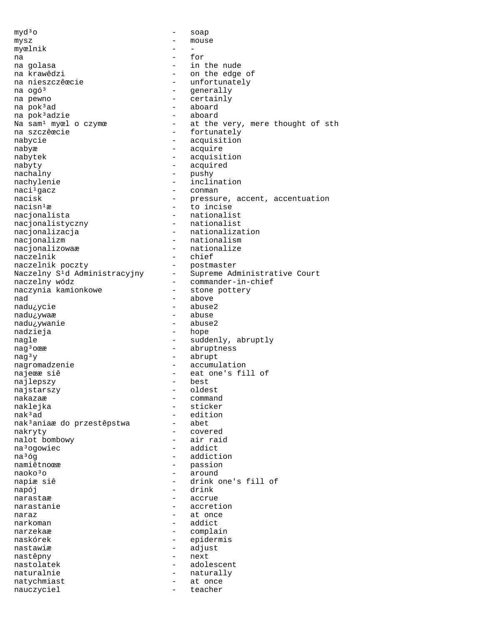$myd<sup>3</sup>o$  - soap mysz – mouse myœlnik - -<br>na - for na extensive to the form of  $\sim$  for na golasa - in the nude na krawêdzi - on the edge of<br>na nieszczê $\alpha$ ecie - unfortunately na nieszczêœcie - unfortunately<br>
na ogó<sup>3</sup> - qenerally na ogó<sup>3</sup> - generally na pewno - generally na pewno - generally na pewno - generally na pewno - generally na pewn - certainly na pok $3$ ad  $-$  aboard  $-$  aboard na pok $3$ adzie  $-$  aboard  $-$  aboard na pok<sup>3</sup>adzie<br>Na sam<sup>1</sup> myœl o czymœ - at the very, mere thought of sth na szczêœcie  $-$  fortunately nabycie  $\qquad \qquad -$  acquisition nabyæ - acquire nabytek - acquisition nabyty - acquired - pushy nachylenie - inclination naci<sup>1</sup>gacz - conman - conman - conman - conman - conman - conman - conman - conman - conman - conman - conman - conman - conman - conman - conman - conman - conman - conman - conman - conman - conman - conman - conman - c nacisk - pressure, accent, accentuation<br>nacisn<sup>1</sup>æ - to incise - to incise nacjonalista<br>
nacjonalistvczny<br>
- nationalist nacjonalistyczny nacjonalizacja - nationalization nacjonalizm - nationalism nacjonalizowaæ - nationalize<br>naczelnik - chief naczelnik - chief - chief - chief - chief - chief - chief - chief - chief - chief - chief - chief naczelnik poczty - postmaster Naczelny S<sup>1</sup>d Administracyjny - Supreme Administrative Court<br>naczelny wódz - commander-in-chief naczelny wódz - commander-in-chief naczynia kamionkowe - stone pottery<br>
nad - above nad - above - abuse2<br>- abuse nadu¿ywaæ - abuse<br>nadu¿ywanie - abuse2 nadu¿ywanie nadzieja - hope nagle - suddenly, abruptly nag<sup>3</sup>oϾ - abruptness  $nag<sup>3</sup>y$  - abrupt nagromadzenie - accumulation najeϾ siê  $-$  eat one's fill of nailepszv  $-$  best najlepszy - best najstarszy nakazaæ - command naklejka - sticker<br>nak<sup>3</sup>ad - sticker<br>- edition - edition<br>- abet nak<sup>3</sup>aniaæ do przestêpstwa nakryty - covered nalot bombowy na<sup>3</sup>ogowiec - addict na<sup>3</sup>óg - addiction<br>namiêtnoœæ - - - passion - passion<br>- around naoko<sup>3</sup>o - around napiæsiê - around - around - around - around - around - around - around - around - around - around - around - around - around - around - around - around - around - around - around - around - around - aro - drink one's fill of<br>- drink napój - drink narastaæ - accrue<br>narastanie narastanie - accretion naraz  $-$  at once narkoman - addict narzekaæ - complain naskórek - epidermis nastawiæ - adjust nastêpny - next<br>nastolatek - adol nastolatek - adolescent naturalnie - naturally natychmiast - at once nauczyciel - teacher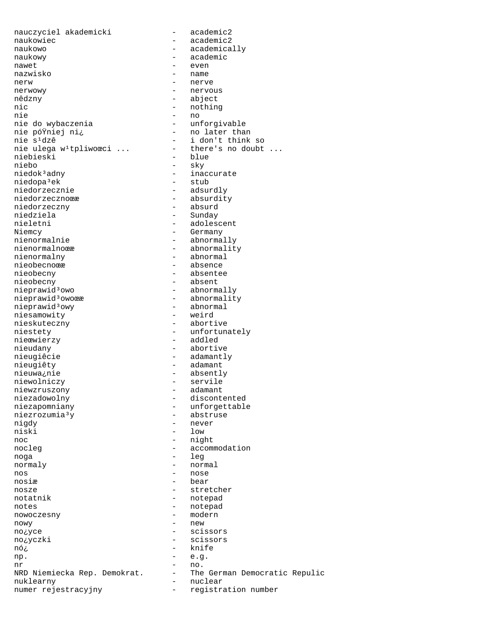nauczyciel akademicki - academic2 naukowiec - academic2 naukowo - academically naukowy - academic nawet - even nazwisko - name nerw - nerve nerwowy - nervous  $\begin{array}{ccc}\n\text{nic} & - & \text{nothing} \\
\text{mie} & - & \text{no} \\
\end{array}$ nie - no nie do wybaczenia - unforgivable nie pó<sup>ÿ</sup>niej ni¿ - no later than<br>nie s<sup>1</sup>dzê - i don't think nie ulega w<sup>1</sup>tpliwoœci ... - there's no doubt ... niebieski niebo - sky niedopa<sup>3</sup>ek<br>niedorzecznie niedorzecznie - adsurdly<br>niedorzecznoœe - - - absurdit niedorzeczny niedziela - Sunday<br>nieletni - adoles nieletni – adolescent<br>Niemcy – Germany – Germany Niemcy - Germany<br>nienormalnie - abnormalnie nienormalnoϾ - abnormality nienormalny - abnormal nieobecnoϾ – absence<br>nieobecny – absente nieobecny - absentee nieobecny - absent nieprawid³owo - abnormally<br>nieprawid³owoœæ - - abnormalit nieprawid<sup>3</sup>owy - abnormal<br>niesamowity - weird niesamowity nieskuteczny - abortive niestety and the state of the unfortunately nieœwierzy - addled nieudany - abortive nieugiêcie en adamantly nieugiêty - adamant nieuwa¿nie - absently niewolniczy<br>
niewzruszony<br>
adamant – adamant niewzruszony - adamant niezadowolny - discontented niezrozumia<sup>3</sup>y<br>niqdy nigdy - never<br>
niski - low<br>
- low noc - night nocleg  $\qquad \qquad -$  accommodation noga - leg normaly - normal nos en el estado en el estado en el estado en el estado en el estado en el estado en el estado en el estado en<br>En el estado en el estado en el estado en el estado en el estado en el estado en el estado en el estado en el e nosiæ - bear nosze – stretcher<br>notatnik – stretcher<br>- notepad notes - notepad nowy - new - new - new - new - scis no¿yczki - scissors nó¿ - knife np.  $-$  e.g.  $-$  no. nr - no. NRD Niemiecka Rep. Demokrat. - The German Democratic Repulic nuklearny - nuclear numer rejestracyjny - registration number

- abject - i don't think so - blue - inaccurate<br>- stub - absurdity<br>- absurd - abnormally - abnormality<br>- abnormal - unforgettable<br>- abstruse niski - low - notepad - modern - scissors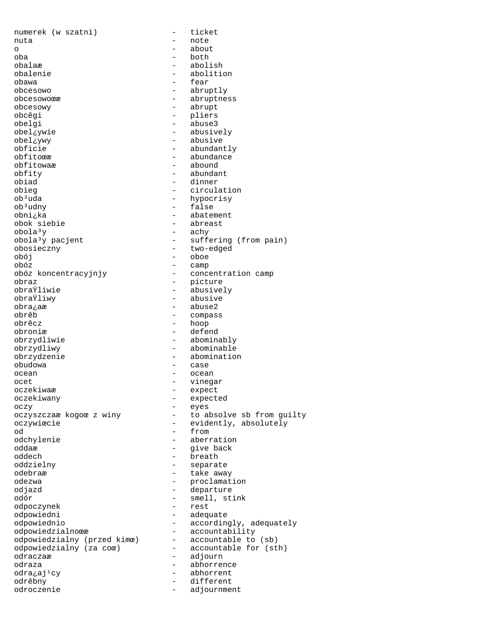numerek (w szatni) - ticket nuta - note o about a bout a bout  $\sim$  about oba - both obalaæ - abolish - abolish<br>obalenie - aboliti abolition obawa - fear obcesowo - abruptly<br>
obcesowo - abruptne - abruptness obcesowy - abrupt obcêgi - pliers obelgi - abuse3 obel¿ywie - abusively obel¿ywy - abusive obficie - abundantly obfitoæ - abundance<br>obfitowaæ - abound - abound obfitowaæ – abound the series of the series of the series of the series of the series of the series of the series of the series of the series of the series of the series of the series of the series of the series of the ser obfity - abundant obiad - dinner<br>obieq - - circula obieg - circulation<br>
ob<sup>3</sup>uda - hypocrisy ob<sup>3</sup>uda - hypocrisy<br>ob<sup>3</sup>udny - false - false obni¿ka - abatement obok siebie  $\text{obola}^3$ y  $\text{pacjent}$  - achy  $\text{bola}^3$ y  $\text{pacjent}$  - suffer - suffering (from pain) obosieczny - two-edged obój - oboe obóz - camp - concentration camp obraz - picture obraŸliwie - abusively<br>obraŸliwy - abusive - abusive obraŸliwy - abusive - abuse2 obrêb - compass<br>obrêcz - hoop - hoop - hoop obroniæ - defend<br>obrzydliwie - abomina - abominably obrzydliwy - abominable obrzydzenie - abomination obudowa - case ocean - ocean - ocean ocet - vinegar<br>oczekiwar - vinegar oczekiwaæ - expect oczekiwany - expected oczy - eyes - to absolve sb from guilty oczywiœcie - evidently, absolutely od 1 from the set of the set of the set of the set of the set of the set of the set of the set of the set of the set of the set of the set of the set of the set of the set of the set of the set of the set of the set of the - aberration oddaæ - give back oddech - breath oddzielny - separate odebraæ - take away odezwa - proclamation odjazd - departure - smell, stink<br>- rest odpoczynek<br>odpowiedni - adequate odpowiednio  $\qquad \qquad -$  accordingly, adequately odpowiedzialnoϾ - accountability<br>odpowiedzialny (przed kimœ) - accountable to (sb) odpowiedzialny (przed kimœ) - accountable to (sb) odpowiedzialny (za coœ) odraczaæ - adjourn odraza - abhorrence<br>
odra<sub>i</sub>ailcy - abhorrent odra¿aj<sup>1</sup>cy - abhorrent<br>
odrêbny - different odrêbny - different<br>
odroczenie - adjournme odroczenie - adjournment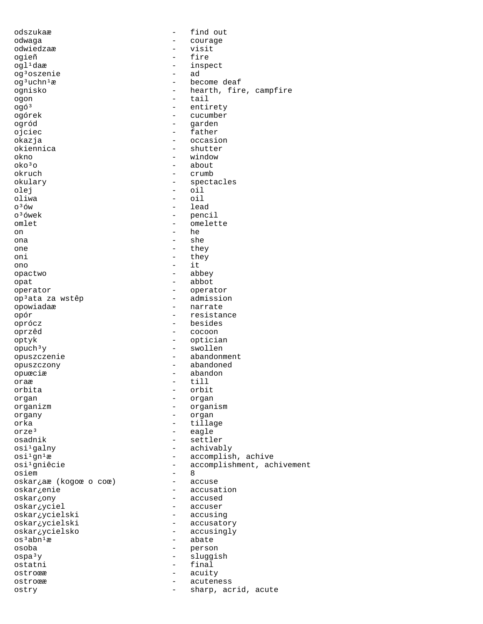odszukaæ - find out odwaga - courage - courage - courage - courage - courage - courage - courage - courage - courage - courage - courage - courage - courage - courage - courage - courage - courage - courage - courage - courage - courage - cou odwiedzaæ - visit ogieñ - fire - inspect<br>- ad  $oq³oszenie$ <br> $oq³uchn¹æ$  og<sup>3</sup>uchn<sup>1</sup>æ - become deaf<br>ognisko - hearth, fire ognisko - hearth, fire, campfire - tail ogó<sup>3</sup> - entirety ogórek - cucumber ogród - garden ojciec - father okazja - occasion - occasion okiennica - shutter - shutter<br>okno - shutter - shutter okno - window  $\begin{array}{ccc} {\rm ok}{\rm o}^3{\rm o} & \hspace{1.5cm} & - & {\rm about} \\ {\rm okruch} & & - & {\rm crumb} \end{array}$ - crumb<br>- specta okulary - spectacles<br>olej - oil - oil olej – oil<br>oliwa – oil – oil oliwa - oil o<sup>3</sup>ów - lead<br>o<sup>3</sup>ówek - penc - pencil<br>- omelet omlet - omelette on - he ona - she one - they oni - they ono - it opactwo - abbey opat - abbot operator - operator op<sup>3</sup>ata za wstêp<br>opowiadaæ - narrate opór - resistance - besides oprzêd - cocoon optyk - optician opuch³y - swollen opuszczenie - abandonment opuszczony - abandoned opuœciæ - abandon oraæ - till<br>orbita - orbita orbit organ - organ - organ - organ - organ - organ - organ - organ - organ - organ - organ - organ - organ - organ - organ - organ - organ - organ - organ - organ - organ - organ - organ - organ - organ - organ - organ - organ organizm - organism organy - organ orka - tillage<br>orze<sup>3</sup> - eagle orze<sup>3</sup> - eagle<br>osadnik - settle - settler osi<sup>1</sup>galny - achivably osi<sup>1</sup>gn<sup>1</sup>æ - accomplish, achive<br>osi<sup>1</sup>gniêcie - - accomplishment, acl - accomplishment, achivement<br>- 8 osiem - 8 oskar¿aæ (kogoœ o coœ)<br>oskar¿enie - accusation oskar¿ony - accused oskar¿yciel - accuser<br>
oskar¿ycielski - accusin - accusing oskar¿ycielski - accusatory oskar¿ycielsko - accusingly<br>os<sup>3</sup>abn<sup>1</sup>æ - abate - abate osoba - person ospa<sup>3</sup>y - sluggish<br>ostatni - final ostatni - final ostroϾ - acuity ostroca - acuteness ostry - sharp, acrid, acute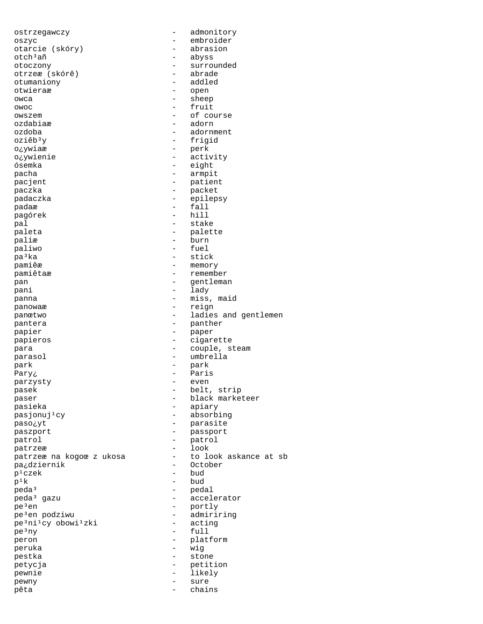ostrzegawczy - admonitory oszyc – embroider<br>otarcie (skóry) – abrasion otarcie (skóry)  $\verb|toch3añ| = \verb|abyss|$ otoczony - surrounded otrzeæ (skórê) otumaniony - addled otwieraæ - open owca - sheep owoc - fruit owszem - of course ozdabiaæ - adorn ozdoba - adornment oziêb<sup>3</sup>y - frigid o¿ywiaæ - perk o¿ywienie - activity ósemka - eight pacha - armpit pacjent - patient paczka - packet .<br>padaczka - epilepsy padaæ - fall<br>padaæ - fall<br>pagórek - hill pagórek pal  $-$  stake paleta  $\qquad \qquad -$  palette paliæ - burn paliwo - fuel pa<sup>3</sup>ka - stick pamiêæ - memory pamiêtaæ – remember<br>pamiètaæ – remember<br>panilemai pan - gentleman - gentleman pani - lady panna  $-$  miss, maid panowaæ - reign panœtwo - ladies and gentlemen pantera  $-$  panther papier - paper papieros - cigarette para  $\qquad \qquad -$  couple, steam parasol - umbrella park - park Pary¿ - Paris parzysty – events – events – events – events – events – events – events – events – events – events – events – pasek - belt, strip paser - black marketeer -<br>pasieka - apiary<br>pasjonuj<sup>1</sup>cy - absorb: - absorbing paso¿yt - parasite paszport  $-$  passport patrol - patrol - patrol patrzeæ - look patrzeæ na kogoœ z ukosa - to look askance at sb pa¿dziernik - October<br>p<sup>1</sup>czek - bud p¹czek - bud  $p^{1}k$  - bud<br>  $p$ eda<br>  $^{3}$  - peda<br>  $^{3}$  - peda<br>  $^{3}$ peda<sup>3</sup> - pedal<br>peda<sup>3</sup> gazu - bedal - accel - accelerator pe<sup>3</sup>en - portly<br>pe<sup>3</sup>en podziwu - admiri: - admiriring<br>- acting pe<sup>3</sup>ni<sup>1</sup>cy obowi<sup>1</sup>zki pe³ny - full peron - platform peruka - wig pestka - stone petycja - petition pewnie - likely pewny - sure pêta di chains de la chains de la chains de la chains de la chains de la chains de la chains de la chains de l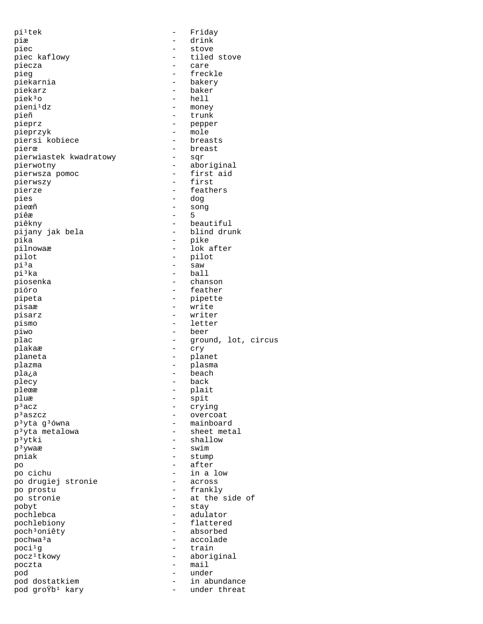pi<sup>1</sup>tek - Friday piæ - drink piec - stove - tiled stove piecza – care pieg - freckle<br>piekarnia - freckle<br>- bakery - bakery piekarz - baker piek3o - hell<br>pieni<sup>1</sup>dz - mone - money pieñ - trunk pieprz - pepper pieprzyk – mole breasts<br>piersi kobiece – breasts piersi kobiece pierœ - breast pierwiastek kwadratowy pierwotny - aboriginal -<br>pierwsza pomoc - first aid pierwszy - first pierze - feathers<br>pies - dog - dog pies - dog<br>pieæñ - son  $-$  song<br> $-$  5 piêæ 5 piêkny - beautiful - blind drunk pika - pike pilnowaæ - lok after pilot - pilot - pilot - pilot - pilot - pilot - pilot - pilot - pilot - pilot - pilot - pilot - pilot - pilot - pilot - pilot - pilot - pilot - pilot - pilot - pilot - pilot - pilot - pilot - pilot - pilot - pilot - pilot pi<sup>3</sup>a - saw - saw -<br>| piʾka - ball - ball<br>| piosenka - banson piosenka - chanson - chanson - chanson - chanson - chanson - chanson - chanson - chanson - chanson pióro - feather pipeta - pipette pisaæ - write pisarz - writer pismo - letter piwo - beer plac  $\qquad \qquad -$  ground, lot, circus plakaæ - cry planeta - planet plazma - plasma pla¿a - beach plecy - back pleϾ - plait pluæ – spit<br>p<sup>3</sup>acz – cryin p<sup>3</sup>acz – crying<br>p<sup>3</sup>aszcz – crying - overcoat<br>- mainboard  $p<sup>3</sup>y$ ta g $<sup>3</sup>$ ówna  $p<sup>3</sup>vt$ a metalowa - mainboard</sup> p<sup>3</sup>yta metalowa p<sup>3</sup>ytki - shallow  $p<sup>3</sup>$ ywaæ - swim pniak - stump po - after po cichu - in a low po drugiej stronie po prostu - frankly po stronie  $-$  at the side of pobyt - stay - adulator pochlebiony - flattered poch³oniêty - absorbed pochwa<sup>3</sup>a - accolade - accolade  $poci<sup>1</sup>g$  - train pocz<sup>1</sup>tkowy - aboriginal poczta - mail pod - under pod dostatkiem  $p$ od gro $\ddot{r}$ b<sup>1</sup> kary  $-$  in abundance pod groŸb<sup>1</sup> kary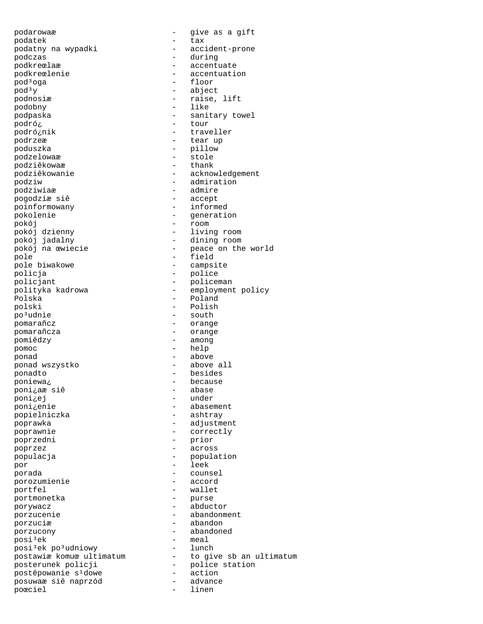podarowaæ - give as a gift podatek - tax podatny na wypadki - accident-prone podczas - during -<br>podkreœlaæ - accentuate podkreœlenie - accentuation  $\text{pod}^3$ oga - floor  $\text{pod}^3$ y - floor abject  $\text{pod}^3$ y - abject<br>podnosiæ - raise, podobny - like podpaska - sanitary towel - sanitary towel podró; podró¿nik - traveller podrzeæ  $-$  tear up poduszka - pillow podzelowaæ - stole podziêkowaæ -<br>podziêkowanie - acknowledgement podziw  $\begin{array}{ccc} 1 & - & - & - \\ 0 & - & - & - \\ 0 & - & - & - \\ 0 & - & - & - \\ 0 & - & - & - \end{array}$ pogodziæ siê<br>poinformowany poinformowany - informed<br>pokolenie - generati pokój - room pokój dzienny  $\begin{array}{ccc} - & 1$ iving room<br>pokój jadalny  $\end{array}$  - dining room pole - field pole biwakowe  $\qquad -$  campsite policja - police policjant - policeman Polska - Poland<br>polski - Polish - Polish po<sup>3</sup>udnie - south pomarañcz - orange pomarañcza - orange pomiêdzy - among pomoc - help ponad - above ponad wszystko - above all ponadto - besides -<br>
poniewa*¿* - because<br>
poniaæsiê - abase poni<sub>c</sub>aæ siê poni¿ej - under poni¿enie - abasement popielniczka - ashtray poprawka - adjustment poprawnie - correctly poprzedni - prior poprzez - across populacja - population - population por - leek porada - counsel porozumienie portfel - wallet portmonetka -<br>porywacz - abductor porzucenie  $\overline{\phantom{a}}$  - abandonment porzuciæ - abandon porzucony - abandoned posi<sup>3</sup>ek - meal<br>posi<sup>3</sup>ek po<sup>3</sup>udniowy - lunch posi<sup>3</sup>ek po<sup>3</sup>udniowy postawiæ komuœ ultimatum<br>posterunek policji postêpowanie s<sup>1</sup>dowe - action<br>
posuwaæ siê naprzód - advance posuwaæ siê naprzód - advance poœciel

podnosiæ - raise, lift podró¿ - tour - admire<br>- accept - generation - dining room pokój na œwiecie - peace on the world polityka kadrowa - employment policy - Polish - to give sb an ultimatum<br>- police station<br>- action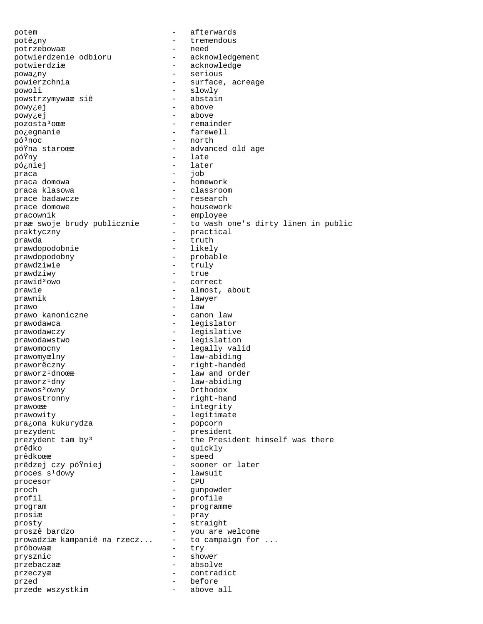potem - afterwards potê¿ny - tremendous potrzebowaæ potwierdzenie odbioru - acknowledgement -<br>
potwierdziæ - acknowledge<br>
nowainv - serious powa¿ny - serious powierzchnia  $-$  surface, acreage -<br>
powoli - slowly<br>
powstrzymywaæsiê - abstain powstrzymywaæ siê powy¿ej - above powy¿ej - above pozosta<sup>3</sup>oϾ - remainder po¿egnanie - farewell pó³noc - north póŸna staroœæ - advanced old age póŸny - late pó¿niej - later praca  $\begin{array}{ccc} - & - & - \\ - & - & \text{homework} \end{array}$ praca domowa praca klasowa - classroom prace badawcze prace domowe - housework pracownik - employee<br>praæ swoje brudy publicznie - to wash - to wash one's dirty linen in public praktyczny - practical<br>prawda - truth - truth prawda - truth prawdopodobnie prawdopodobny - probable prawdziwie - truly<br>prawdziwy - true - true prawdziwy prawid³owo - correct prawie  $\qquad \qquad \qquad -$  almost, about prawnik - lawyer prawo - law prawo kanoniczne prawodawca - legislator prawodawczy - legislative -<br>prawodawstwo - legislation prawomocny - legally valid prawomyœlny - law-abiding praworêczny - right-handed praworz<sup>1</sup>dnoϾ - law and order praworz<sup>1</sup>dny - law-abiding prawos<sup>3</sup>owny - Orthodox prawostronny - right-hand prawoϾ - integrity prawowity - legitimate pra¿ona kukurydza prezydent - president  $prezydent$   $tam$   $by<sup>3</sup>$  - the President himself was there prêdko - quickly prêdkoœæ - speed prêdzej czy póŸniej proces s<sup>1</sup>dowy - lawsuit<br>procesor - CPU procesor - CPU proch - gunpowder<br>
profil - profile profil - profile program - programme<br>progin prosiæ - pray prosty - straight proszê bardzo - you are welcome prowadziæ kampaniê na rzecz... -<br>próbowaæ - try prysznic - shower przebaczaæ - absolve przeczyæ - contradict przed - before przede wszystkim - above all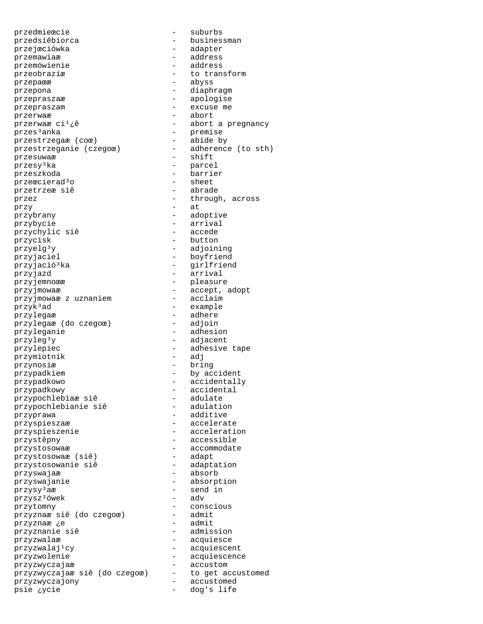przedmieœcie - suburbs przedsiêbiorca - businessman przejœciówka - adapter przemawiaæ - address<br>przemówienie - address<br>- address przemówienie przeobraziæ - to transform przepaϾ - abyss przepona - diaphragm przepraszaæ  $\overline{a}$  - apologise przepraszam - excuse me przerwaæ - abort przerwaæ ci<sup>1</sup>¿ê - - - - abort a pregnancy przes<sup>3</sup>anka – premise<br>przestrzega $\infty$  (co $\infty$ ) – abide by<br>przestrzeganie (czego $\infty$ ) – adherence (to sth) przestrzegaæ (coœ) przestrzeganie (czegoœ) przesuwaæ - shift przesy³ka - parcel przeszkoda<br>przeszkoda - barrier<br>przeœcierad<sup>3</sup>o - sheet przeœcierad³o - sheet przetrzeæ siê przez  $-$  through, across przy - at przybrany - adoptive przybycie – arrival<br>przybycie – arrival<br>przychvlic siê – accede przychylic siê przycisk - button przyelg³y - adjoining przyjaciel - boyfriend przyjació<sup>3</sup>ka - girlfriend przyjazd - arrival przyjemnoϾ - pleasure przyjmowaæ - accept, adopt przyjmowaæ z uznaniem - acclaim przyk<sup>3</sup>ad - example przylegaæ - adhere przylegaæ (do czegoœ) przyleganie - adhesion przyleg³y - adjacent przylepiec - adhesive tape<br>przymiotnik - adj przymiotnik przynosiæ - bring przypadkiem - by accident przypadkowo - accidentally przypadkowy - accidental - 1.<br>przypochlebiaæ siê - adulate<br>przypochlebianie siê - adulation przypochlebianie siê przyprawa - additive - additive przyspieszaæ - accelerate przyspieszenie - acceleration przystêpny - accessible przystosowaæ (siê) - accommodate<br>przystosowaæ (siê) - adapt przystosowaæ (siê) - adapt przystosowanie siê przyswajaæ - absorb przyswajanie - absorption przysy³aæ - send in przysz³ówek - adv przytomny - conscious przyznaæ siê (do czegoœ) - admit przyznaæ ¿e przyznanie siê  $-$  admission przyzwalaæ - acquiesce przyzwalaj<sup>1</sup>cy - acquiescent przyzwolenie - acquiescence -<br>przyzwyczajaæ siê (do czegoœ) - accustom<br>przyzwyczajaæ siê (do czegoœ) - to get accustomed przyzwyczajaæ siê (do czegoœ) - to get accustomed przyzwyczajony - accustomed psie ¿ycie - dog's life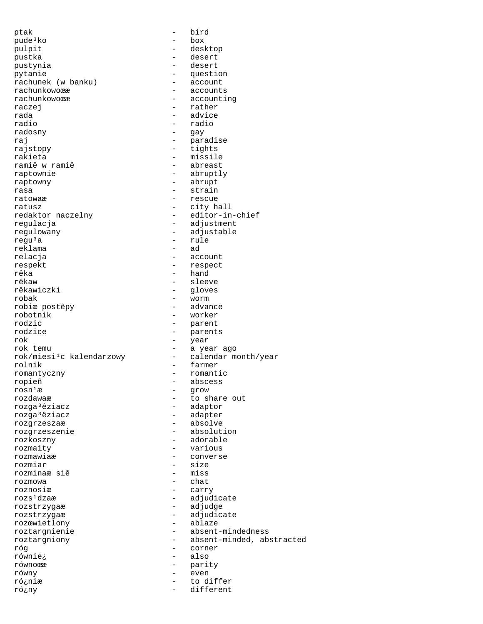ptak - bird pude³ko - box pulpit - desktop pustka - desert pustynia - desert pytanie - question rachunek (w banku) - - account rachunek (w banku)<br>rachunkowoϾ rachunkowoϾ - accounts<br>rachunkowoœæ - - accounti rachunkowoϾ - accounting<br>raczei - rather - rather - rather rada - advice radio - radio radosny - gay raj  $-$  paradise rajstopy - tights rakieta - missile - abreast raptownie - abruptly raptowny - abrupt rasa  $-$  strain ratowaæ - rescue<br>ratusz - rescue<br>- city ha ratusz  $-$  city hall<br>redaktor naczelny  $-$  editor-in - editor-in-chief regulacja - adjustment regulowany - adjustable regu<sup>3</sup>a - rule<br>reklama - ad reklama<br>relacja - account respekt - respect rêka - hand - hand - hand - hand - hand - hand - hand - hand - hand - hand - hand - hand - hand - hand - hand rêkaw - sleeve<br>rêkawiczki - sleeve - sleeve - gloves<br>- worm robak - worm robiæ postêpy robotnik - worker rodzic - parent rodzice - parents<br>rok - parents<br>- vear - year rok temu - a year ago  $rok/miesi<sup>1</sup>c kalendarzowy$ rolnik - farmer romantyczny - romantic ropieñ - abscess<br>rosniæ  $r \circ s n^1 x$  - grow<br> $r \circ z d$ awaæ - to sl rozdawaæ - to share out rozga<sup>3</sup>êziacz - adaptor - adaptor<br>rozga<sup>3</sup>êziacz - - - adapter - adapter<br>- absolve rozgrzeszaæ - absolve rozgrzeszenie rozkoszny - adorable rozmaity - various rozmawiaæ - converse rozmiar - size<br>rozminaæsiê - miss rozminaæ siê - missie rozmowa - chat<br>roznosiæ - carry - carry roznosiæ rozs<sup>1</sup>dzaæ - adjudicate rozstrzygaæ - adjudge rozstrzygaæ - adjudicate<br>rozæwietlony - ablaze rozœwietlony roztargnienie - absent-mindedness roztargniony - absent-minded, abstracted róg - corner równie¿ - also równoœæ - parity równy - even ró¿niæ - to different<br>róːny - different ró¿ny - different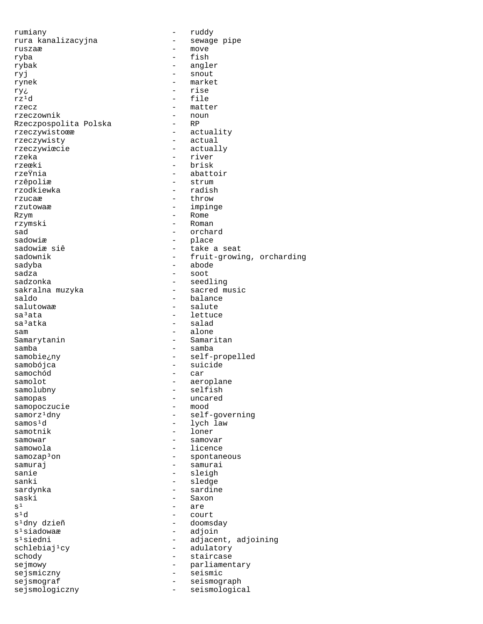rumiany - ruddy rura kanalizacyjna ruszaæ - move ryba - fish rybak - angler ryj en en en aantal en snout rynek - market  $\begin{array}{ccc} \texttt{ryz} & - & \texttt{rise} \\ \texttt{rz} \cdot \texttt{d} & - & \texttt{file} \end{array}$ rz<sup>1</sup>d – file<br>rzecz – matt - matter<br>- noun rzeczownik – nounter<br>Rzeczpospolita Polska – RP Rzeczpospolita Polska - RP rzeczywistoϾ rzeczywisty - actual rzeczywiœcie - actually rzeka - river - river<br>rzecki - brisk - brisk rzeœki - brisk rzeŸnia - abattoir - strum<br>- radish rzodkiewka rzucaæ - throw - throw - throw - throw - throw - throw - throw - throw - throw - throw - throw - throw - throw - throw - throw - throw - throw - throw - throw - throw - throw - throw - throw - throw - throw - throw - throw - impinge Rzym – Rome rzymski - Roman - Roman - Roman - Roman - Roman - Roman - Roman - Roman - Roman - Roman - Roman - Roman - Roman - Roman - Roman - Roman - Roman - Roman - Roman - Roman - Roman - Roman - Roman - Roman - Roman - Roman - Roma sad - orchard<br>sadowiæ - orchard - orchard - place sadowiæ siê  $-$  take a seat sadownik - fruit-growing, orcharding<br>sadyba - abode - abode sadyba - abode sadza - soot - seedling sakralna muzyka - sacred music<br>saldo - balance saldo <sup>-</sup> balance - balance<br>salutowaæ - salute - salute salutowaæ - salute - salute - salute - salute - salute - salute - salute - salute - salute - salute - salute  $sa<sup>3</sup>ata$  - lettuce<br> $sa<sup>3</sup>atka$  - salad - salad sam - alone Samarytanin samba - samba - samba samobie¿ny - self-propelled - suicide<br>- car samochód samolot - aeroplane samolubny - selfish samopas - uncared<br>samopoczucie - mood - mood samopoczucie<br>samorz<sup>1</sup>dny - self-governing  $\frac{1}{\text{sum}}$  anno $\text{sum}$  and  $\frac{1}{\text{sum}}$  and  $\frac{1}{\text{sum}}$  and  $\frac{1}{\text{sum}}$  and  $\frac{1}{\text{sum}}$  and  $\frac{1}{\text{sum}}$  and  $\frac{1}{\text{sum}}$  and  $\frac{1}{\text{sum}}$  and  $\frac{1}{\text{sum}}$  and  $\frac{1}{\text{sum}}$  and  $\frac{1}{\text{sum}}$  and  $\frac{1}{\text{sum}}$  and  $\frac{1$ samotnik - loner samowar - samovar samowola - licence samozap<sup>3</sup>on - spontaneous samuraj en la estado en la estado en la estado en la estado en la estado en la estado en la estado en la estado en la estado en la estado en la estado en la estado en la estado en la estado en la estado en la estado en la sanie - sleigh - sleigh<br>sanki - sledge - sledge sardynka - sardine saski - Saxon - Saxon - Saxon - Saxon - Saxon - Saxon - Saxon - Saxon - Saxon - Saxon - Saxon - Saxon - Saxon - Saxon - Saxon - Saxon - Saxon - Saxon - Saxon - Saxon - Saxon - Saxon - Saxon - Saxon - Saxon - Saxon - Saxon  $s^1$  - are<br> $s^1d$  - course  $s^1$  $s^1d$  - court<br> $s^1$ dny dzieñ - dooms s¹dny dzieñ - doomsday s<sup>1</sup>siadowaæ - adjoin<br>s<sup>1</sup>siedni - adjacer - adjacent, adjoining<br>- adulatory  $schlebiaj<sup>1</sup>cy$ schody - staircase sejmowy - parliamentary<br>seismiczny - seismic sejsmiczny - seismic sejsmograf - seismograph<br>seismologiczny - seismologicz sejsmologiczny - seismological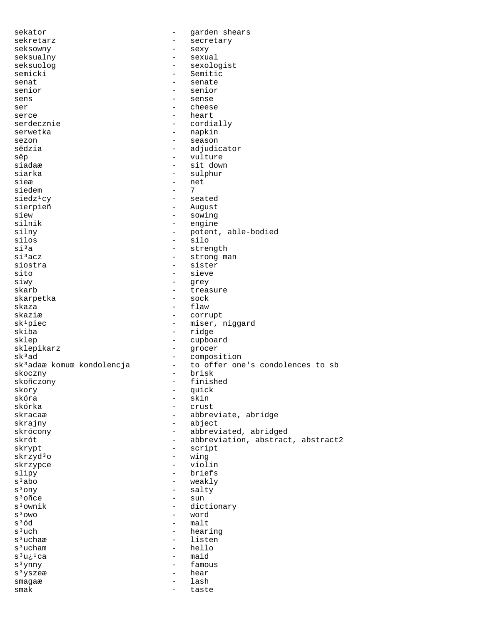| sekator                                |                          | garden shears                     |
|----------------------------------------|--------------------------|-----------------------------------|
| sekretarz                              |                          | secretary                         |
| seksowny                               | —                        | sexy                              |
| seksualny                              |                          | sexual                            |
| seksuolog                              |                          | sexologist                        |
| semicki                                |                          | Semitic                           |
| senat                                  |                          | senate                            |
| senior                                 | -                        | senior                            |
| sens                                   |                          | sense                             |
| ser                                    |                          | cheese                            |
| serce                                  | $\overline{\phantom{0}}$ | heart                             |
| serdecznie                             | —                        | cordially                         |
| serwetka                               |                          | napkin                            |
| sezon                                  |                          | season                            |
| sêdzia                                 | $\overline{\phantom{0}}$ | adjudicator                       |
| sêp                                    | -                        | vulture                           |
| siadaæ                                 | $\overline{\phantom{0}}$ |                                   |
|                                        |                          | sit down                          |
| siarka                                 | $\overline{\phantom{0}}$ | sulphur                           |
| sieæ                                   | $\overline{\phantom{0}}$ | net                               |
| siedem                                 | $\overline{\phantom{0}}$ | 7                                 |
| siedz <sup>1</sup> cy                  | $\overline{\phantom{0}}$ | seated                            |
| sierpieñ                               | $\overline{\phantom{0}}$ | August                            |
| siew                                   |                          | sowing                            |
| silnik                                 | -                        | engine                            |
| silny                                  |                          | potent, able-bodied               |
| silos                                  | $\overline{\phantom{0}}$ | silo                              |
| $\sin^3 a$                             | $\overline{\phantom{0}}$ | strength                          |
| si <sup>3</sup> acz                    | -                        | strong man                        |
| siostra                                | $\overline{\phantom{0}}$ | sister                            |
| sito                                   |                          | sieve                             |
| siwy                                   |                          | grey                              |
| skarb                                  | $\overline{\phantom{0}}$ | treasure                          |
| skarpetka                              | -                        | sock                              |
| skaza                                  |                          | flaw                              |
| skaziæ                                 | -                        | corrupt                           |
| sk <sup>1</sup> piec                   | $\overline{\phantom{0}}$ | miser, niggard                    |
| skiba                                  | $\overline{\phantom{0}}$ | ridge                             |
| sklep                                  |                          |                                   |
|                                        |                          | cupboard                          |
| sklepikarz                             |                          | grocer                            |
| sk <sup>3</sup> ad                     | $\overline{\phantom{0}}$ | composition                       |
| sk <sup>3</sup> adaæ komuœ kondolencja | $\overline{\phantom{0}}$ | to offer one's condolences to sb  |
| skoczny                                | $\overline{\phantom{0}}$ | brisk                             |
| skoñczony                              |                          | finished                          |
| skory                                  |                          | quick                             |
| skóra                                  |                          | skin                              |
| skórka                                 |                          | crust                             |
| skracaæ                                |                          | abbreviate, abridge               |
| skrajny                                |                          | abject                            |
| skrócony                               | $\overline{\phantom{0}}$ | abbreviated, abridged             |
| skrót                                  |                          | abbreviation, abstract, abstract2 |
| skrypt                                 | -                        | script                            |
| skrzyd3o                               | $\overline{\phantom{0}}$ | wing                              |
| skrzypce                               | $\overline{\phantom{0}}$ | violin                            |
| slipy                                  |                          | briefs                            |
| $s3$ abo                               |                          | weakly                            |
| $s3$ ony                               |                          | salty                             |
| s <sup>3</sup> oñce                    | $\overline{\phantom{0}}$ | sun                               |
| $s3$ ownik                             | -                        | dictionary                        |
| $S3$ OWO                               |                          | word                              |
| $s^3$ ód                               |                          | malt                              |
|                                        | $\overline{\phantom{0}}$ |                                   |
| s <sup>3</sup> uch                     |                          | hearing                           |
| s <sup>3</sup> uchaæ                   | -                        | listen                            |
| s <sup>3</sup> ucham                   |                          | hello                             |
| s <sup>3</sup> ui <sup>1</sup> ca      |                          | maid                              |
| s <sup>3</sup> ynny                    |                          | famous                            |
| s <sup>3</sup> yszeæ                   |                          | hear                              |
| smagaæ                                 |                          | lash                              |
| smak                                   |                          | taste                             |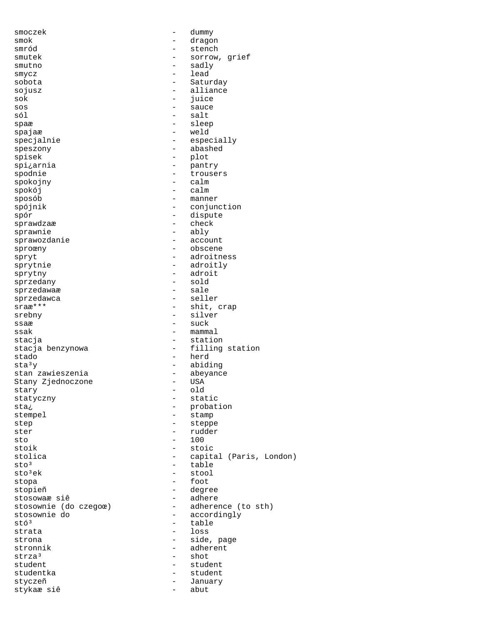smoczek - dummy smok - dragon smród - stench - sorrow, grief smutno - sadly<br>smvcz – lead smycz – lead<br>sobota – Satur sobota - Saturday sojusz - alliance - juice sos - sauce - salt spaæ - sleep spajaæ - weld specjalnie - especially speszony - abashed spisek - plot<br>spi¿arnia - panti spi¿arnia - pantry spodnie and the set of the set of the set of the set of the set of the set of the set of the set of the set of spokojny - calm spokój - calm sposób - manner - conjunction spór - dispute - check sprawnie - ably sprawozdanie sproœny - obscene spryt - adroitness sprytnie - adroitly sprytny - adroit sprzedany - sold sprzedawaæ<br>sprzedawca sprzedawca - seller<br>sraæ\*\*\* - - shit, - shit, crap srebny - silver ssaæ - suck  $ssak$  - mammal stacja - station - filling station stado - herd sta<sup>3</sup>y - abiding<br>stan zawieszenia - abeyance stan zawieszenia - abeyance Stany Zjednoczone stary - old statyczny - static sta<sub>i</sub> - probation - probation stempel - stamp step - steppe ster - rudder  $\mathsf{sto}$  - 100 stoik - stoic stolica - capital (Paris, London)  $\begin{array}{cccc}\n\texttt{sto}^3 & \texttt{--} & \texttt{--} & \texttt{table} \\
\texttt{sto}^3\texttt{ek} & & - & \texttt{stool}\n\end{array}$ - stool<br>- foot stopa - foot<br>stopieñ - degr - degree<br>- adhere stosowaæ siê<br>stosownie (do czegoœ) stosownie (do czegoœ) - adherence (to sth)<br>stosownie do - accordingly stosownie do  $\begin{array}{ccc} - & \text{accordingly} \\ - & \text{table} \end{array}$ stó<sup>3</sup> - table - table - table - table - table - table - table - table - table - table - table - table - table - table - table - table - table - table - table - table - table - table - table - table - table - table - table strata - loss<br>strona - side - side - side, page stronnik - adherent strza³ - shot student - student studentka - student styczeñ - January stykaæ siê  $-$  abut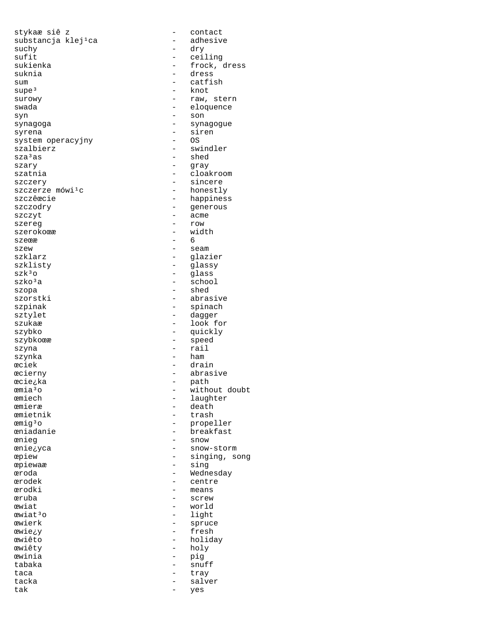stykaæ siê z - contact substancja klej<sup>1</sup>ca suchy - dry sufit - ceiling sukienka - frock, dress suknia - dress sum - catfish<br>supe<sup>3</sup> - knot  $\begin{array}{ccc} \texttt{supe}^3 & \hspace{1.5cm} - & \texttt{knot} \\ \texttt{surowy} & \hspace{1.5cm} - & \texttt{raw}, \end{array}$ swada - eloquence syn - son synagoga en synagogue - synagogue syrena - siren<br>system operacyjny - OS - OS system operacyjny  $\begin{array}{ccc}\n\texttt{szalbierz} & - & \texttt{swindler} \\
\texttt{sza}^3\texttt{as} & - & \texttt{shed}\n\end{array}$ szary - gray szatnia  $\qquad \qquad -$  cloakroom szczery – sincere<br>szczerze mówi<sup>1</sup>c – – honestly – honestly szczerze mówi<sup>1</sup>c<br>szczêœcie szczêœcie - happiness szczyt – acme szereg  $-$  row  $-$  row szerokoϾ - width<br>szeœæ - 6 - 6 szeϾ szew – seam – seam – seam – seam – seam – seam – seam – seam – seam – seam – seam – seam – seam – seam – seam – seam – seam – seam – seam – seam – seam – seam – seam – seam – seam – seam – seam – seam – seam – seam – seam szklisty - glassy  $\begin{array}{ccc} \texttt{szk}3\texttt{o} & \texttt{--} & \texttt{glass}\\ \texttt{szk} \texttt{o}3\texttt{a} & \texttt{--} & \texttt{--} & \texttt{schoo} \end{array}$  $\begin{array}{ccc} \texttt{szko3a} & \hspace{1.5cm} & - & \texttt{school} \\ \texttt{szopa} & \hspace{1.5cm} & - & \texttt{shed} \end{array}$ szopa - shed<br>szorstki - abra: szorstki – abrasive – abrasive – abrasive – abrasive – abrasive – abrasive – abrasive – abrasive – abrasive – szpinak - spinach sztylet - dagger szukaæ - look for - look for - look for - look for - look for - look for - look for - look for - look for - lo szybkoϾ – speed szyna - rail szynka – ham – ham – ham – ham – ham – ham – ham – ham – ham – ham – ham – ham – ham – ham – ham – h æciek - drain<br>æcierny - drain - drain - drain æcie¿ka - patheologie<br>emia3o - patheologie emia<sup>3</sup>o - without doubt<br>
emiech - laughter emiech - laughter<br>
emieræ - death<br>
- death æmieræ - death<br>æmietnik - trash emig<sup>3</sup>o - propeller<br>eniadanie - breakfast eniadanie - breakfast<br>
enieg - snow - snow œnie¿yca - snow-storm œpiew - singing, song œpiewaæ - sing œroda - Wednesday œrodek - centre œrodki - means œruba - screw ewiat - world<br>ewiat<sup>3</sup>o - and - world - light ewiat<sup>3</sup>o - light<br>ewierk - spruc œwie¿y - fresh œwiêto - holiday œwiêty - holy œwinia - pig tabaka - snuff<br>taca - trav taca - tray tacka - salver<br>tak - salver tak - yes

- raw, stern - shed - generous - glazier - quickly - abrasive<br>- path - trash - snow - spruce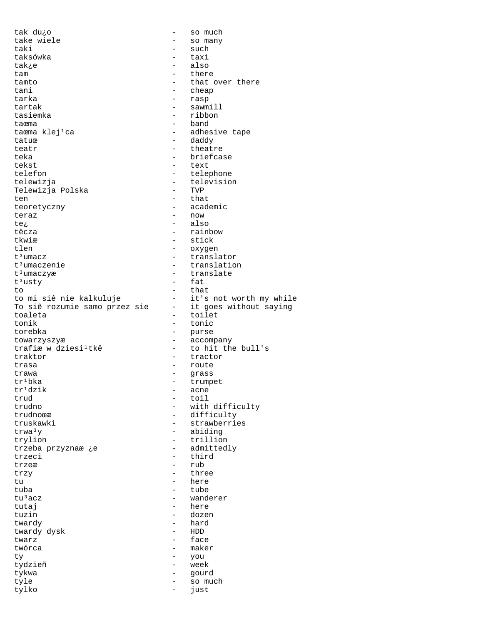tak du¿o - so much take wiele  $-$  so many taki - such taksówka - taxi tak¿e - also tam  $-$  there tamto  $\qquad \qquad -$  that over there<br>tani  $\qquad \qquad -$  cheap tani - cheap<br>tarka - rasp - rasp - rasp tartak  $-$  sawmill tasiemka - ribbon taœma  $\text{the } j \text{-}$  and  $\text{the } j \text{-}$  band  $\text{-}$  adher - adhesive tape tatuœ daddy - daddy teatr theatre theatre teka - briefcase tekst - text telefon - telephone - television<br>- TVP Telewizja Polska ten het bestelling van die that the that the that the three that the three that the three that the three three three three three three three three three three three three three three three three three three three three thr teoretyczny - academic teraz - now te¿ - also têcza - rainbow tkwiæ - stick tlen - oxygen tªumacz – translator<br>tªumaczenie – translatio t<sup>3</sup>umaczenie - translation<br>t<sup>3</sup>umaczyæ - translate t<sup>3</sup>umaczyæ - translate<br>t<sup>3</sup>usty - fat - fat<br>- that to - that to mi siê nie kalkuluje it's not worth my while To siê rozumie samo przez sie - it goes without saying toaleta - toilet tonic torebka - purse towarzyszyæ - accompany trafiæ w dziesi<sup>1</sup>tkê - to hit the bull's traktor - tractor trasa - route - route - route - route - route - route - route - route - route - route - route - route - route - route - route - route - route - route - route - route - route - route - route - route - route - route - route trawa - grass  $tr<sup>1</sup>bka$  - trumpet<br> $tr<sup>1</sup>dzik$  - acne  $tr<sup>1</sup>dzik$  - acne<br>  $trud$  - toil trud - toil<br>trudno - with - with trudno - with difficulty<br>trudno - difficulty<br>- difficulty - difficulty truskawki - strawberries  $trwa<sup>3</sup>y$  - abiding trylion - trillion<br>trzeba przyznaæje - admittedly trzeba przyznaæ ¿e trzeci - third  $\begin{array}{ccc}\n \text{trzex} & - & \text{rub} \\
 \text{trzv} & - & \text{thrv}\n \end{array}$ trzy - three - three - three - three - three - three - three - three - three - three - three - three - three - three - three - three - three - three - three - three - three - three - three - three - three - three - three tu - here <br>tuba - tube - tube  $\begin{array}{ccc}\n\text{tuba} & - & \text{tube} \\
\text{tu}^3acz & - & \text{wand} \\
\end{array}$ - wanderer tutaj en la estas en la estas en la here tuzin - dozen twardy - hard twardy dysk twarz - face - maker ty - you tydzieñ - week tykwa - gourd tyle - so much tylko - just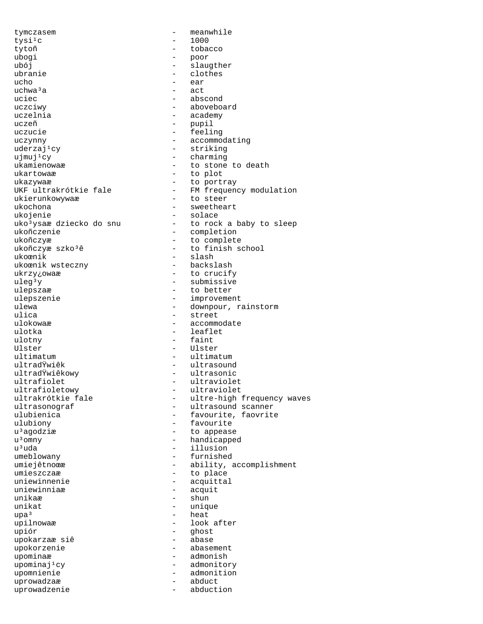tymczasem - meanwhile tysi¹c - 1000 tobacco ubogi - poor ubój – slaugther<br>ubranie – clothes ubranie - clothes - clothes - clothes - clothes - clothes - clothes - clothes - clothes - clothes - clothes - clothes - clothes - clothes - clothes - clothes - clothes - clothes - clothes - clothes - clothes - clothes - cl ucho - ear uchwa<sup>3</sup>a - act<br>uciec - abs - abscond uczciwy - aboveboard uczelnia  $\qquad \qquad -$  academy uczeñ  $-$  pupil uczucie - feeling uczynny - accommodating uderzaj<sup>1</sup>cy - striking  $ujmuj<sup>1</sup>cy$ <br>ukamienowaæ – charming<br>- to stone ukamienowaæ - to stone to death<br>ukartowaæ - to plot ukartowaæ - to plot ukazywaæ - to portray<br>UKF ultrakrótkie fale - FM frequeno ukierunkowywaæ<br>ukochona ukojenie - solace uko $3y$ saæ dziecko do snu  $-$  to rock a baby to sleep ukoñczenie ukoñczyæ - to complete ukoñczyæ szko<sup>3</sup>ê - to finish school ukoœnik - slash ukoœnik wsteczny ukrzy¿owaæ - to crucify<br>uleg<sup>3</sup>y - submissive  $uleg<sup>3</sup>y$  - submissive<br>ulepsza $t$  - to better ulepszaæ - to better<br>ulepszenie - improveme ulepszenie - improvement<br>ulewa - downpour, ra ulewa - downpour, rainstorm<br>ulica - street - street ulica - street ulokowaæ - accommodate - leaflet ulotny - faint Ulster - Ulster - Ulster ultimatum - ultimatum - ultimatum - ultrasouno ultradŸwiêk - ultrasound<br>ultradŸwiêkowy - - ultrasonic ultradŸwiêkowy - ultrasonic<br>ultrafiolet - ultraviole ultrafiolet<br>ultrafioletowy - ultraviolet<br>- ultraviolet ultrafioletowy - ultraviolet ultrakrótkie fale  $-$  ultre-high frequency waves<br>ultrasonograf  $-$  ultrasound scanner ultrasonograf - ultrasound scanner<br>ulubienica - - - - - favourite, faovrite ulubiony - favourite u<sup>3</sup>agodziæ - to appease<br>u<sup>3</sup>omny - handicappe u<sup>3</sup>uda - illusion umeblowany - furnished umiejêtnoœæ - ability, accomplishment umieszczaæ - to place<br>uniewinnenie - ecquitta. uniewinnenie - acquittal<br>uniewinniaæ - - acquit uniewinniaæ - acquit unikaæ - shun<br>unikat - unic unikat - unique upa<sup>3</sup> - heat<br>upilnowaæ - 100k upilnowaæ - look after<br>upiór - dhost - dhost - ghost<br>- abase upokarzaæ siê upokorzenie - abasement upominaæ en admonish upominaj<sup>1</sup>cy entry admonitory upomnienie - admonition<br>uprowadzaæ - - - abduct uprowadzaæ - abduct uprowadzenie

- FM frequency modulation<br>- to steer - sweetheart - completion - favourite, faovrite - handicapped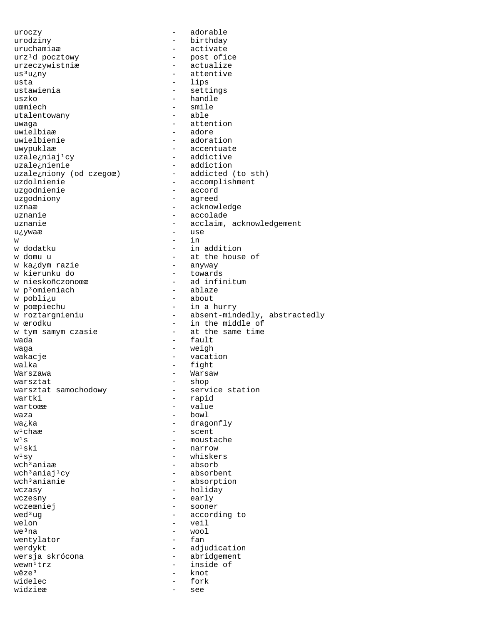uroczy - adorable urodziny - birthday uruchamiaæ - activate<br>urz<sup>1</sup>d pocztowy - - post ofi urz<sup>1</sup>d pocztowy and the post ofice urzeczywistniæ - actualize  $us<sup>3</sup>u<sub>c</sub>ny$  - attentive usta - lips ustawienia - settings - handle uœmiech - smile<br>utalentowany - able utalentowany uwaga - attention<br>uwielbiaæ - adore - adore uwielbiaæ uwielbienie - adoration uwypuklaæ - accentuate - addictive uzale¿nienie<br>uzale¿niony (od czegoœ) - addicted (to sth) uzale¿niony (od czegoœ)<br>uzdolnienie uzdolnienie - accomplishment<br>uzgodnienie - accord uzgodnienie - accord uzgodniony - agreed - acknowledge uznanie  $\qquad \qquad -$  accolade uznanie  $\qquad \qquad \qquad -$  acclaim, acknowledgement u¿ywaæ - use  $w = i n$ w dodatku  $-$  in addition w domu u - at the house of<br>w ka¿dym razie - anyway w ka¿dym razie - anyway w kierunku do<br>w nieskoñczonoœæ - ad infinitum<br>- ablaze w p<sup>3</sup>omieniach<br>w pobli¿u w pobli<sub>c</sub>u - about - about v poepiechu - in a l w poœpiechu<br>
w roztargnieniu<br>
w roztargnieniu<br>
- absent-mino w roztargnieniu  $\begin{array}{ccc} - & \text{absent-mindedly, abstractedly} \\ w & \text{erodku} \end{array}$ - in the middle of<br>- at the same time w tym samym czasie wada - fault waga  $-$  weigh wakacje - vacation - vacation  $walka$   $-$  fight Warszawa  $-$  Warsaw warsztat - shop - service station wartki - rapid - value waza - bowl  $w_4$ <sub>k</sub>a - dragonfly - dragonfly  $w^1$ chaæ - scent<br> $w^1$ s - mousta - moustache  $w^1$ ski - narrow  $w<sup>1</sup> sy$  - whiskers  $wch<sup>3</sup>aniaæ$  - absorb wch<sup>3</sup>aniaj<sup>1</sup>cy  $\rightarrow$  absorbent wch<sup>3</sup>anianie  $\rightarrow$  absorption - absorption wczasy - holiday wczesny - early wczeœniej - sooner - according to  $we$   $\frac{1}{2}$  welon  $\frac{1}{2}$  we  $\frac{1}{2}$  we  $\frac{1}{2}$  wool - wool<br>- fan wentylator werdykt en adjudication wersja skrócona <br />
- abridgement wewn<sup>1</sup>trz - inside of  $wêze^3$  - knot knot<br>fork widelec widzieæ - see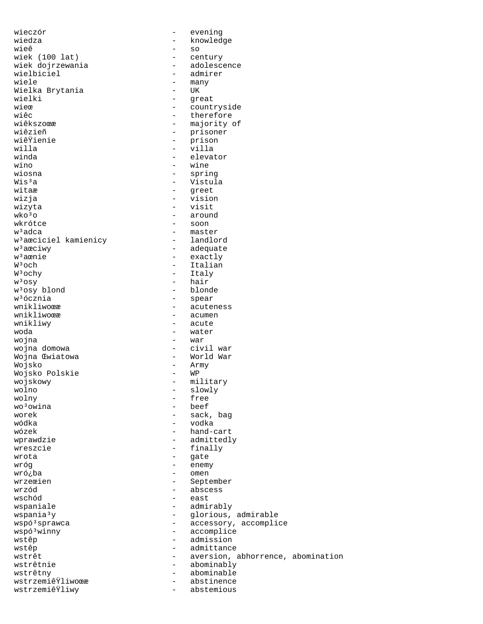wiedza – knowledge – knowledge – knowledge – knowledge – knowledge – knowledge – knowledge – knowledge – knowledge – knowledge – knowledge – knowledge – knowledge – knowledge – knowledge – knowledge – knowledge – knowledge wiek (100 lat)<br>wiek dojrzewania wiek dojrzewania  $\begin{array}{ccc} \text{wielbiciel} & \text{and} & \text{end} \\ \text{wielbiciel} & \text{and} & \text{end} \end{array}$ wielbiciel - admirer Wielka Brytania<br>wielki wielki - great<br>wier - great wieœ - countryside<br>wiêc - therefore  $\begin{array}{ccc}\n\text{wiec} & \text{wherefore} \\
\text{wieksz.} & \text{wieksz.}\n\end{array}$ wiêkszoœæ - majority of<br>wiêzieñ - majority of wiêzieñ - prisoner willa - villa wino - wine wiosna - spring Wis<sup>3</sup>a - Vistula<br>witaæ - Vistula witaæ – greet<br>wizja – den – greet wizja - vision  $\frac{1}{2}$  wizyta - visit<br>wko<sup>3</sup>o - around  $wko<sup>3</sup>o$  - around  $wkrótce$  - soon  $w^3$ adca  $w^3$ adca - soon - maste w<sup>3</sup>aœciciel kamienicy w<sup>3</sup>aœciwy - adequate w<sup>3</sup>aœnie - exactly<br>W<sup>3</sup>och - Italian  $W^3$ och  $W^3$ och - Italian  $W^3$ ochy - Italian - Italy  $\begin{array}{ccc}\nW^3{\mathop{\mathrm{och}}\nolimits} & & & & - & \text{Italy} \\
W^3{\mathop{\mathrm{os}}\nolimits} & & & & - & \text{hair}\n\end{array}$ w<sup>3</sup>osy blond<br>w<sup>3</sup>ócznia w<sup>3</sup>ócznia - spear - spear - spear<br>wnikliwoœæ wnikliwoϾ - acuteness<br>wnikliwoœæ - - acumen wnikliwy  $\qquad$  - acute woda - water wojna - war wojna domowa  $-$  civil war Wojna Œwiatowa  $\overline{w}$  - World War Wojsko - Army - Army - Army - Army - Army - Army - Army - Army - Army - Army - Army - Army - Army - Army - Army - Army - Army - Army - Army - Army - Army - Army - Army - Army - Army - Army - Army - Army - Army - Army - Arm Wojsko Polskie wojskowy - military - military<br>wolno - slowly wolno - slowly<br>wolny - free wolny - free  $\frac{1}{2}$  wo $\frac{3}{2}$  owina  $\frac{1}{2}$  beef beef worek - sack, bag wódka - vodka wózek - hand-cart wreszcie - finally wrota - gate wróg - enemy wró¿ba - omen<br>wrzeœien - Sept wrzeœien - September<br>
wrzód - September<br>
- abscess wrzód - abscess wschód - east wspaniale - admirably wspóªwinny - accomplice<br>wstêp - admission wstêp  $-$  admittance wstrêtnie <br/>  $\qquad \qquad$  - abominably wstrêtny - abominable wstrzemiêŸliwoœæ - abstinence wstrzemiêŸliwy

wieczór  $-$  evening - so<br>- century - many<br>- UK - prison<br>- villa - elevator - master<br>- landlord - hair<br>- blonde - acumen - admittedly wspania<sup>3</sup>y - glorious, admirable<br>wspó<sup>3</sup>sprawca - - - - - accessory, accompli wspóªsprawca - accessory, accomplice<br>wspóªwinny - accomplice - admission wstrêt  $-$  aversion, abhorrence, abomination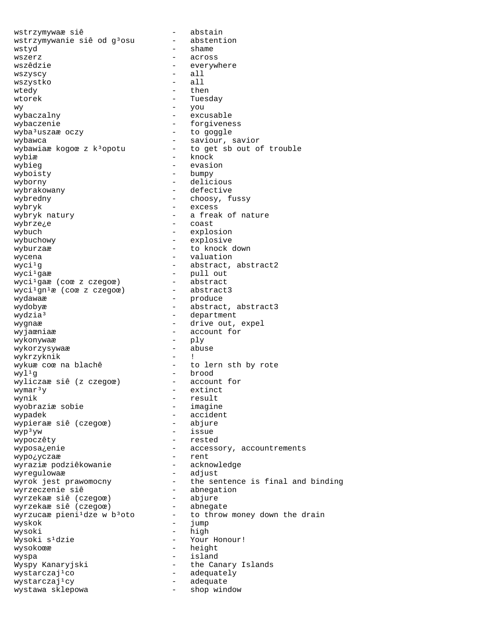wstrzymywaæ siê - abstain wstrzymywanie siê od g<sup>3</sup>osu wstyd - shame wszerz - across wszêdzie  $-$  everywhere wszyscy - all wszystko wtedy - then wtorek - Tuesday  $\hbox{wv}$  - you - you wybaczalny  $\qquad$  - excusable wybaczenie - forgiveness wyba<sup>3</sup>uszaæ oczy - to goggle wybawca - saviour, savior wybawiaæ kogoœ z k<sup>3</sup>opotu - to get sb out of trouble wybiæ - knock wybieg evasion - evasion wyboisty - bumpy wyborny - delicious wybrakowany  $\qquad -$  defective wybredny - choosy, fussy - excess wybryk natury  $-$  a freak of nature wybrze<sub>i</sub>e - coast wybuch  $-$  explosion wybuchowy - explosive wyburzaæ  $-$  to knock down wycena - valuation  $wyci<sup>1</sup>g$  - abstract, abstract2 wyci<sup>1</sup>gaæ - pull out<br>wyci<sup>1</sup>gaæ (coœ z czegoœ) - pull out<br>wyci<sup>1</sup>gaæ (coœ z czegoœ) - abstract wyci<sup>1</sup>gaæ (coœ z czegoœ) - abstract<br>wyci<sup>1</sup>qn<sup>1</sup>æ (coœ z czegoœ) - abstract3 wyci<sup>i</sup>gaæ (coœ z czegoœ)<br>wyci<sup>i</sup>gn<sup>i</sup>æ (coœ z czegoœ) wydawaæ - produce wydobyæ - abstract, abstract3 wydzia<sup>3</sup> epartment – department wygnaæ  $\overline{\phantom{a}}$  - drive out, expel wyjaœniaæ - account for<br>wykonvwaæ - ply wykonywaæ - ply wykorzysywaæ - abuse wykrzyknik wykuæ coœ na blachê  $-$  to lern sth by rote wyl¹g - brood wyliczaæ siê (z czegoœ)  $wymar<sup>3</sup>y$  - extinct wynik - result wyobraziæ sobie wypadek - accident wypieraæ siê (czegoœ)  $wp<sup>3</sup>yw$  - issue wypoczêty - rested wyposa¿enie - accessory, accountrements wypo¿yczaæ - rent wyraziæ podziêkowanie - acknowledge wyregulowaæ - adjust wyrok jest prawomocny - the sentence is final and binding wyrzeczenie siê - abnegation wyrzekaæ siê (czegoœ) - abjure wyrzekaæ siê (czegoœ) - abnegate wyrzucaæ pieni<sup>1</sup>dze w b<sup>3</sup>oto - to throw money down the drain wyskok - jump wysoki - high - Your Honour! wysokoϾ - height wyspa - island Wyspy Kanaryjski - the Canary Islands wystarczaj¹co - adequately - adequate<br>- shop window wystawa sklepowa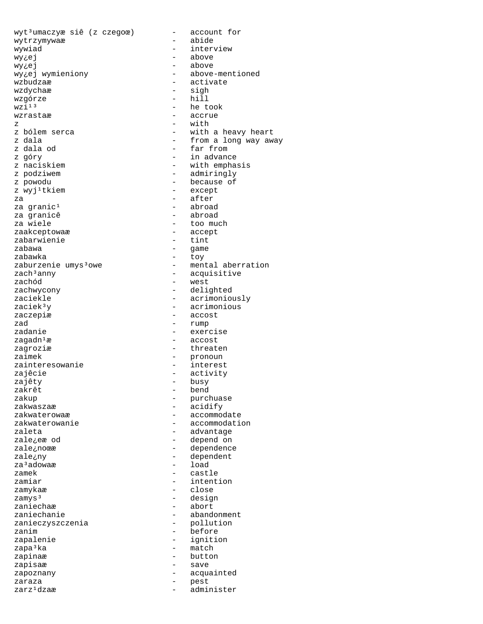$wyt<sup>3</sup>$ umaczyæ siê (z czegoœ) – account for wytrzymywaæ - abide wywiad - interview wy¿ej – above – above wy¿ej - above wy¿ej wymieniony - above-mentioned wzbudzaæ - activate - sigh<br>- hill wzgórze<br>wzi<sup>13</sup>  $wzi<sup>13</sup>$  - he took  $wzrastaæ$  - accrue - accrue z - with - with a heavy heart z dala  $\qquad \qquad$  - from a long way away z dala od  $-$  far from z góry - in advance z naciskiem  $\qquad \qquad -$  with emphasis<br>z podziwem  $\qquad \qquad -$  admiringly z podziwem  $\qquad \qquad -$  admiringly<br>z powodu  $\qquad \qquad -$  because of - because of<br>- except z wyj<sup>1</sup>tkiem za - after<br>za qranic<sup>1</sup> - after - abroad za granic<sup>1</sup><br>za granicê za granicê diwartes de la abroad<br>za wiele diwartes diwartes de la too mu - too much<br>- accept zaakceptowaæ - accept zabarwienie zabawa - game zabawka - toy zaburzenie umys<sup>3</sup>owe - mental aberration zach<sup>3</sup>anny - acquisitive<br>zachód - west zachód – west<br>zachwycony – delig zachwycony - delighted zaciekle - acrimoniously<br>zaciek<sup>3</sup>y - acrimonious - acrimonious zaczepiæ - accost zad - rump<br>zadanie - exer - exercise  $z$ agadn<sup>1</sup>æ - accost zagroziæ  $\overline{z}$  - threaten zaimek - pronoun - pronoun - pronoun - pronoun - pronoun - pronoun - pronoun - pronoun - pronoun - pronoun - pronoun - pronoun - pronoun - pronoun - pronoun - pronoun - pronoun - pronoun - pronoun - pronoun - pronoun - pro zainteresowanie zajêcie - activity - activity - activity - activity - activity - busy zajêty - busy zakrêt - bend zakup - purchuase zakwaszaæ - acidify<br>zakwaterowaæ - accommo - accommodate zakwaterowanie  $\overline{\phantom{a}}$  - accommodation zaleta  $\qquad \qquad -$  advantage zale<sub>i</sub>eæ od - depend on zale¿noœæ - dependence zale¿ny - dependent za<sup>3</sup>adowaæ zamek - castle<br>zamiar - intent zamiar - intention<br>zamykaz - close zamykaæ – close<br>zamys<sup>3</sup> – close zamys<sup>3</sup> - design<br>zaniechaæ - abort - abort zaniechaæ - abort - abort<br>zaniechanie - - aband - abandonment<br>- pollution zanieczyszczenia zanim - before - ignition zapa<sup>3</sup>ka - match zapinaæ - button<br>zapisaæ - save zapisaæ - save zapoznany - acquainted zaraza - pest - administer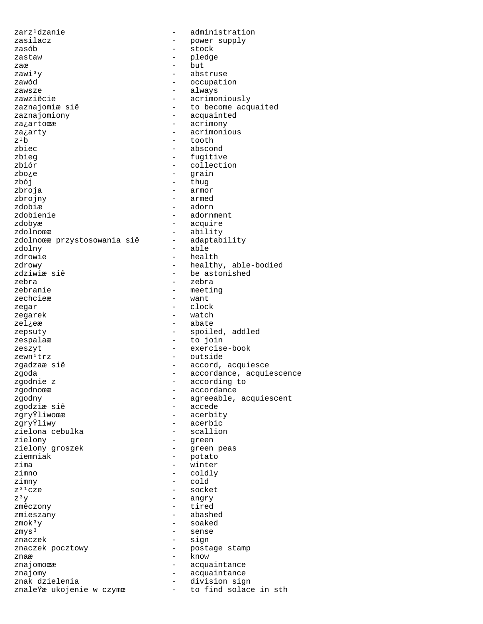zarz<sup>1</sup>dzanie - administration zasilacz - power supply zasób - stock zastaw - pledge zaœ  $\frac{1}{3}$ y  $\frac{1}{3}$   $\frac{1}{3}$   $\frac{1}{3}$   $\frac{1}{3}$   $\frac{1}{3}$   $\frac{1}{3}$   $\frac{1}{3}$   $\frac{1}{3}$   $\frac{1}{3}$   $\frac{1}{3}$   $\frac{1}{3}$   $\frac{1}{3}$   $\frac{1}{3}$   $\frac{1}{3}$   $\frac{1}{3}$   $\frac{1}{3}$   $\frac{1}{3}$   $\frac{1}{3}$   $\frac{1}{3}$   $\frac{1}{3}$   $\frac{1}{$ zawi³y - abstruse zawód - occupation zawsze - always zawziêcie - acrimoniously<br>zaznajomiæsiê - - to become acqu - to become acquaited zaznajomiony - acquainted za¿artoœæ - acrimony za<sub>i</sub>arty - acrimonious  $z^1b$  - tooth zbiec - abscond zbieg  $-$  fugitive zbiór - collection zbo¿e - grain  $zb\acute{o}j$  - thug  $zb\acute{o}j$  - thug  $zb\acute{o}j$ zbroja - armor zbrojny - armed zdobiæ - adorn - adorn - adorn - adorn - adorn - adorn - adorn - adorn - adorn - adorn - adorn - adorn - adorn - adorn - adorn - adorn - adorn - adorn - adorn - adorn - adorn - adorn - adorn - adorn - adorn - adorn - adorn - adornment zdobyæ - acquire zdolnoϾ<br>zdolnoœæ przystosowania siê - adaptability zdolnoϾ przystosowania siê zdolny - able - health zdrowy - healthy, able-bodied - be astonished zebra - zebra zebranie - meeting - want zegar - clock zegarek - watch zel¿eæ - abate zepsuty - spoiled, addled zespalaæ - to join zeszyt - exercise-book zewn<sup>1</sup>trz - outside zgadzaæ siê  $\overline{\phantom{a}}$  - accord, acquiesce zgoda<br>zgoda - accordance, acquiescence<br>zgodnie z - according to zgodnie z  $-$  according to zgodnoææ zgodnoϾ - accordance - agreeable, acquiescent<br>- accede zgodziæ siê<br>zgryŸliwoœæ zgryŸliwoœæ - acerbity - acerbic<br>- scallion zielona cebulka<br>zielony - green zielony groszek  $-$  green peas ziemniak – potato<br>zima – potato<br>zima – winter zima - winter zimno - coldly zimny - cold  $z^{31}cze$  - socket  $z^{3}y$  - angry  $z<sup>3</sup>y$  - angry<br>zmêczony - tired - tired zmieszany - abashed  $z \mod 3y$  - soaked zmys<sup>3</sup> - sense znaczek - sign znaczek pocztowy - postage stamp zna $\alpha$  -  $\alpha$  -  $\alpha$  -  $\alpha$  -  $\alpha$  -  $\alpha$ znajomoϾ en acquaintance znajomy - acquaintance znak dzielenia<br>znale<sup>ÿ</sup>æ ukojenie w czymœ to find solace - to find solace in sth